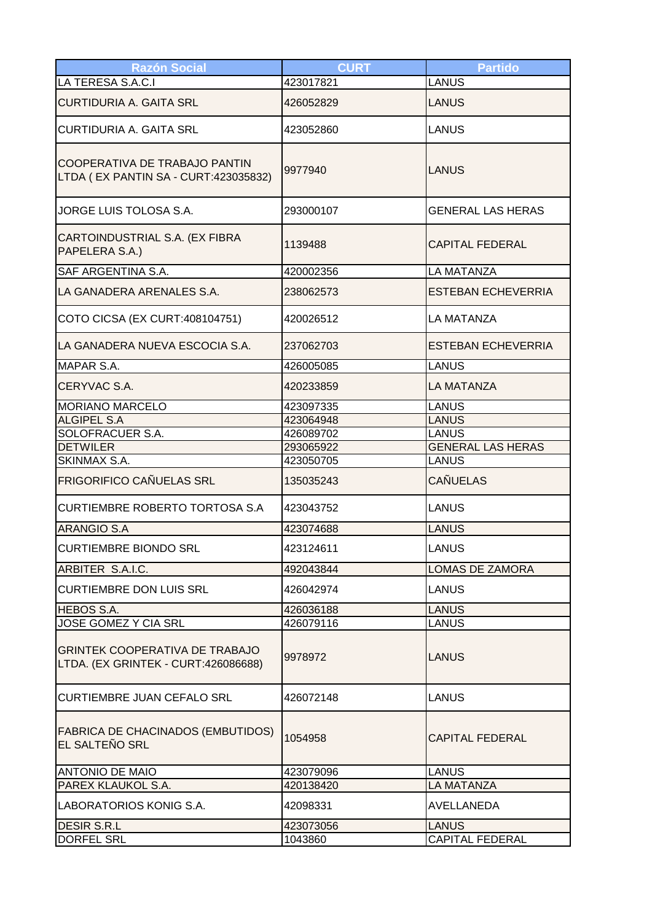| <b>Razón Social</b>                                                   | <b>CURT</b> | <b>Partido</b>            |
|-----------------------------------------------------------------------|-------------|---------------------------|
| LA TERESA S.A.C.I                                                     | 423017821   | <b>LANUS</b>              |
| <b>CURTIDURIA A. GAITA SRL</b>                                        | 426052829   | <b>LANUS</b>              |
| <b>CURTIDURIA A. GAITA SRL</b>                                        | 423052860   | <b>LANUS</b>              |
| COOPERATIVA DE TRABAJO PANTIN<br>LTDA (EX PANTIN SA - CURT:423035832) | 9977940     | LANUS                     |
| JORGE LUIS TOLOSA S.A.                                                | 293000107   | <b>GENERAL LAS HERAS</b>  |
| CARTOINDUSTRIAL S.A. (EX FIBRA<br>PAPELERA S.A.)                      | 1139488     | <b>CAPITAL FEDERAL</b>    |
| SAF ARGENTINA S.A.                                                    | 420002356   | <b>LA MATANZA</b>         |
| LA GANADERA ARENALES S.A.                                             | 238062573   | <b>ESTEBAN ECHEVERRIA</b> |
| COTO CICSA (EX CURT:408104751)                                        | 420026512   | <b>LA MATANZA</b>         |
| LA GANADERA NUEVA ESCOCIA S.A.                                        | 237062703   | <b>ESTEBAN ECHEVERRIA</b> |
| <b>MAPAR S.A.</b>                                                     | 426005085   | <b>LANUS</b>              |
| CERYVAC S.A.                                                          | 420233859   | <b>LA MATANZA</b>         |
| <b>MORIANO MARCELO</b>                                                | 423097335   | <b>LANUS</b>              |
| <b>ALGIPEL S.A</b>                                                    | 423064948   | <b>LANUS</b>              |
| SOLOFRACUER S.A.                                                      | 426089702   | <b>LANUS</b>              |
| <b>DETWILER</b>                                                       | 293065922   | <b>GENERAL LAS HERAS</b>  |
| SKINMAX S.A.                                                          | 423050705   | <b>LANUS</b>              |
| <b>FRIGORIFICO CAÑUELAS SRL</b>                                       | 135035243   | <b>CAÑUELAS</b>           |
| <b>CURTIEMBRE ROBERTO TORTOSA S.A</b>                                 | 423043752   | LANUS                     |
| <b>ARANGIO S.A</b>                                                    | 423074688   | <b>LANUS</b>              |
| <b>CURTIEMBRE BIONDO SRL</b>                                          | 423124611   | <b>LANUS</b>              |
| ARBITER S.A.I.C.                                                      | 492043844   | LOMAS DE ZAMORA           |
| <b>CURTIEMBRE DON LUIS SRL</b>                                        | 426042974   | <b>LANUS</b>              |
| <b>HEBOS S.A.</b>                                                     | 426036188   | <b>LANUS</b>              |
| JOSE GOMEZ Y CIA SRL                                                  | 426079116   | <b>LANUS</b>              |
| GRINTEK COOPERATIVA DE TRABAJO<br>LTDA. (EX GRINTEK - CURT:426086688) | 9978972     | LANUS                     |
| <b>CURTIEMBRE JUAN CEFALO SRL</b>                                     | 426072148   | <b>LANUS</b>              |
| <b>FABRICA DE CHACINADOS (EMBUTIDOS)</b><br>EL SALTEÑO SRL            | 1054958     | <b>CAPITAL FEDERAL</b>    |
| <b>ANTONIO DE MAIO</b>                                                | 423079096   | <b>LANUS</b>              |
| PAREX KLAUKOL S.A.                                                    | 420138420   | <b>LA MATANZA</b>         |
| LABORATORIOS KONIG S.A.                                               | 42098331    | AVELLANEDA                |
| <b>DESIR S.R.L</b>                                                    | 423073056   | <b>LANUS</b>              |
| <b>DORFEL SRL</b>                                                     | 1043860     | <b>CAPITAL FEDERAL</b>    |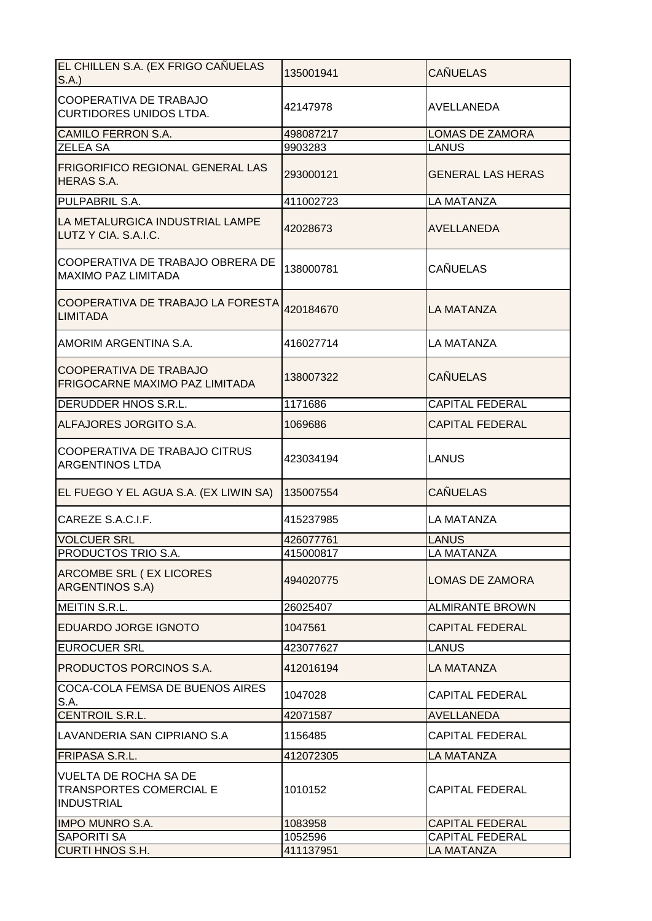| EL CHILLEN S.A. (EX FRIGO CAÑUELAS<br>S.A.                                          | 135001941 | <b>CAÑUELAS</b>          |
|-------------------------------------------------------------------------------------|-----------|--------------------------|
| COOPERATIVA DE TRABAJO<br><b>CURTIDORES UNIDOS LTDA.</b>                            | 42147978  | AVELLANEDA               |
| <b>CAMILO FERRON S.A.</b>                                                           | 498087217 | <b>LOMAS DE ZAMORA</b>   |
| <b>ZELEA SA</b>                                                                     | 9903283   | <b>LANUS</b>             |
| FRIGORIFICO REGIONAL GENERAL LAS<br><b>HERAS S.A.</b>                               | 293000121 | <b>GENERAL LAS HERAS</b> |
| PULPABRIL S.A.                                                                      | 411002723 | <b>LA MATANZA</b>        |
| LA METALURGICA INDUSTRIAL LAMPE<br>LUTZ Y CIA. S.A.I.C.                             | 42028673  | <b>AVELLANEDA</b>        |
| COOPERATIVA DE TRABAJO OBRERA DE<br><b>MAXIMO PAZ LIMITADA</b>                      | 138000781 | <b>CAÑUELAS</b>          |
| COOPERATIVA DE TRABAJO LA FORESTA<br><b>LIMITADA</b>                                | 420184670 | <b>LA MATANZA</b>        |
| AMORIM ARGENTINA S.A.                                                               | 416027714 | <b>LA MATANZA</b>        |
| <b>COOPERATIVA DE TRABAJO</b><br>FRIGOCARNE MAXIMO PAZ LIMITADA                     | 138007322 | <b>CAÑUELAS</b>          |
| DERUDDER HNOS S.R.L.                                                                | 1171686   | <b>CAPITAL FEDERAL</b>   |
| ALFAJORES JORGITO S.A.                                                              | 1069686   | <b>CAPITAL FEDERAL</b>   |
| COOPERATIVA DE TRABAJO CITRUS<br><b>ARGENTINOS LTDA</b>                             | 423034194 | <b>LANUS</b>             |
| EL FUEGO Y EL AGUA S.A. (EX LIWIN SA)                                               | 135007554 | <b>CAÑUELAS</b>          |
| CAREZE S.A.C.I.F.                                                                   | 415237985 | LA MATANZA               |
| <b>VOLCUER SRL</b>                                                                  | 426077761 | <b>LANUS</b>             |
| PRODUCTOS TRIO S.A.                                                                 | 415000817 | LA MATANZA               |
| ARCOMBE SRL (EX LICORES<br>ARGENTINOS S.A)                                          | 494020775 | <b>LOMAS DE ZAMORA</b>   |
| <b>MEITIN S.R.L.</b>                                                                | 26025407  | <b>ALMIRANTE BROWN</b>   |
| EDUARDO JORGE IGNOTO                                                                | 1047561   | <b>CAPITAL FEDERAL</b>   |
| <b>EUROCUER SRL</b>                                                                 | 423077627 | <b>LANUS</b>             |
| PRODUCTOS PORCINOS S.A.                                                             | 412016194 | LA MATANZA               |
| COCA-COLA FEMSA DE BUENOS AIRES<br>S.A.                                             | 1047028   | <b>CAPITAL FEDERAL</b>   |
| CENTROIL S.R.L.                                                                     | 42071587  | <b>AVELLANEDA</b>        |
| LAVANDERIA SAN CIPRIANO S.A                                                         | 1156485   | <b>CAPITAL FEDERAL</b>   |
| FRIPASA S.R.L.                                                                      | 412072305 | <b>LA MATANZA</b>        |
| <b>VUELTA DE ROCHA SA DE</b><br><b>TRANSPORTES COMERCIAL E</b><br><b>INDUSTRIAL</b> | 1010152   | <b>CAPITAL FEDERAL</b>   |
| <b>IMPO MUNRO S.A.</b>                                                              | 1083958   | <b>CAPITAL FEDERAL</b>   |
| SAPORITI SA                                                                         | 1052596   | <b>CAPITAL FEDERAL</b>   |
| <b>CURTI HNOS S.H.</b>                                                              | 411137951 | LA MATANZA               |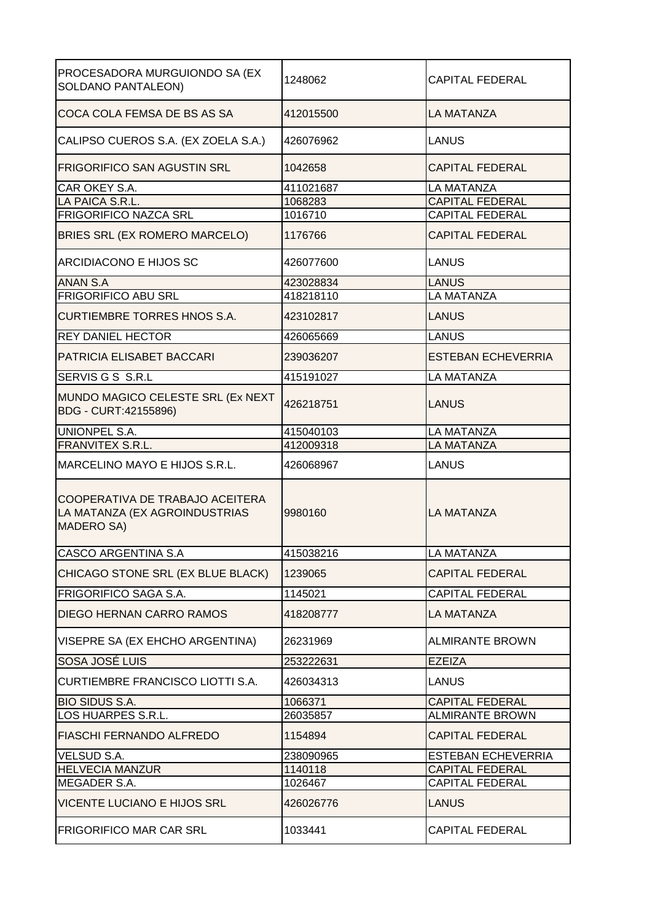| PROCESADORA MURGUIONDO SA (EX<br><b>SOLDANO PANTALEON)</b>                            | 1248062   | <b>CAPITAL FEDERAL</b>    |
|---------------------------------------------------------------------------------------|-----------|---------------------------|
| COCA COLA FEMSA DE BS AS SA                                                           | 412015500 | <b>LA MATANZA</b>         |
| CALIPSO CUEROS S.A. (EX ZOELA S.A.)                                                   | 426076962 | LANUS                     |
| FRIGORIFICO SAN AGUSTIN SRL                                                           | 1042658   | <b>CAPITAL FEDERAL</b>    |
| CAR OKEY S.A.                                                                         | 411021687 | LA MATANZA                |
| LA PAICA S.R.L.                                                                       | 1068283   | <b>CAPITAL FEDERAL</b>    |
| FRIGORIFICO NAZCA SRL                                                                 | 1016710   | <b>CAPITAL FEDERAL</b>    |
| BRIES SRL (EX ROMERO MARCELO)                                                         | 1176766   | <b>CAPITAL FEDERAL</b>    |
| ARCIDIACONO E HIJOS SC                                                                | 426077600 | <b>LANUS</b>              |
| <b>ANAN S.A</b>                                                                       | 423028834 | <b>LANUS</b>              |
| <b>FRIGORIFICO ABU SRL</b>                                                            | 418218110 | LA MATANZA                |
| <b>CURTIEMBRE TORRES HNOS S.A.</b>                                                    | 423102817 | <b>LANUS</b>              |
| <b>REY DANIEL HECTOR</b>                                                              | 426065669 | <b>LANUS</b>              |
| PATRICIA ELISABET BACCARI                                                             | 239036207 | <b>ESTEBAN ECHEVERRIA</b> |
| SERVIS G S S.R.L                                                                      | 415191027 | <b>LA MATANZA</b>         |
| MUNDO MAGICO CELESTE SRL (Ex NEXT<br>BDG - CURT:42155896)                             | 426218751 | <b>LANUS</b>              |
| <b>UNIONPEL S.A.</b>                                                                  | 415040103 | <b>LA MATANZA</b>         |
| <b>FRANVITEX S.R.L.</b>                                                               | 412009318 | <b>LA MATANZA</b>         |
|                                                                                       |           |                           |
| MARCELINO MAYO E HIJOS S.R.L.                                                         | 426068967 | <b>LANUS</b>              |
| COOPERATIVA DE TRABAJO ACEITERA<br>LA MATANZA (EX AGROINDUSTRIAS<br><b>MADERO SA)</b> | 9980160   | <b>LA MATANZA</b>         |
| CASCO ARGENTINA S.A                                                                   | 415038216 | LA MATANZA                |
| CHICAGO STONE SRL (EX BLUE BLACK)                                                     | 1239065   | <b>CAPITAL FEDERAL</b>    |
| FRIGORIFICO SAGA S.A.                                                                 | 1145021   | <b>CAPITAL FEDERAL</b>    |
| DIEGO HERNAN CARRO RAMOS                                                              | 418208777 | LA MATANZA                |
| VISEPRE SA (EX EHCHO ARGENTINA)                                                       | 26231969  | <b>ALMIRANTE BROWN</b>    |
| SOSA JOSÉ LUIS                                                                        | 253222631 | <b>EZEIZA</b>             |
| <b>CURTIEMBRE FRANCISCO LIOTTI S.A.</b>                                               | 426034313 | <b>LANUS</b>              |
| <b>BIO SIDUS S.A.</b>                                                                 | 1066371   | <b>CAPITAL FEDERAL</b>    |
| LOS HUARPES S.R.L.                                                                    | 26035857  | <b>ALMIRANTE BROWN</b>    |
| FIASCHI FERNANDO ALFREDO                                                              | 1154894   | <b>CAPITAL FEDERAL</b>    |
| <b>VELSUD S.A.</b>                                                                    | 238090965 | <b>ESTEBAN ECHEVERRIA</b> |
| <b>HELVECIA MANZUR</b>                                                                | 1140118   | <b>CAPITAL FEDERAL</b>    |
| MEGADER S.A.                                                                          | 1026467   | <b>CAPITAL FEDERAL</b>    |
| <b>VICENTE LUCIANO E HIJOS SRL</b>                                                    | 426026776 | <b>LANUS</b>              |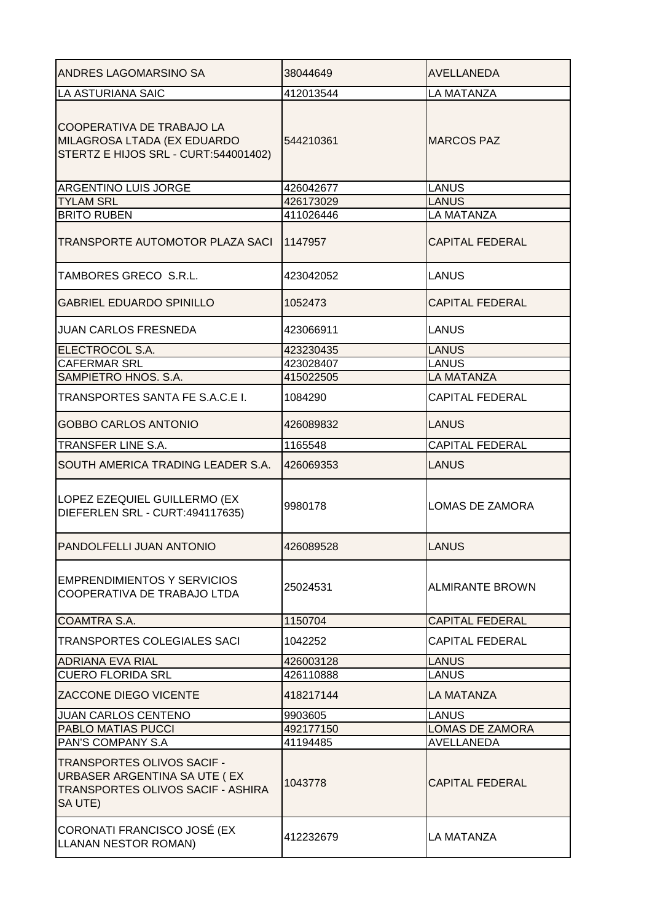| <b>ANDRES LAGOMARSINO SA</b>                                                                               | 38044649  | <b>AVELLANEDA</b>      |
|------------------------------------------------------------------------------------------------------------|-----------|------------------------|
| LA ASTURIANA SAIC                                                                                          | 412013544 | <b>LA MATANZA</b>      |
| COOPERATIVA DE TRABAJO LA<br>MILAGROSA LTADA (EX EDUARDO<br>STERTZ E HIJOS SRL - CURT:544001402)           | 544210361 | <b>MARCOS PAZ</b>      |
| <b>ARGENTINO LUIS JORGE</b>                                                                                | 426042677 | <b>LANUS</b>           |
| <b>TYLAM SRL</b>                                                                                           | 426173029 | <b>LANUS</b>           |
| <b>BRITO RUBEN</b>                                                                                         | 411026446 | LA MATANZA             |
| TRANSPORTE AUTOMOTOR PLAZA SACI                                                                            | 1147957   | <b>CAPITAL FEDERAL</b> |
| TAMBORES GRECO S.R.L.                                                                                      | 423042052 | <b>LANUS</b>           |
| <b>GABRIEL EDUARDO SPINILLO</b>                                                                            | 1052473   | <b>CAPITAL FEDERAL</b> |
| <b>JUAN CARLOS FRESNEDA</b>                                                                                | 423066911 | <b>LANUS</b>           |
| ELECTROCOL S.A.                                                                                            | 423230435 | <b>LANUS</b>           |
| <b>CAFERMAR SRL</b>                                                                                        | 423028407 | <b>LANUS</b>           |
| SAMPIETRO HNOS. S.A.                                                                                       | 415022505 | <b>LA MATANZA</b>      |
| TRANSPORTES SANTA FE S.A.C.E I.                                                                            | 1084290   | <b>CAPITAL FEDERAL</b> |
| <b>GOBBO CARLOS ANTONIO</b>                                                                                | 426089832 | LANUS                  |
| TRANSFER LINE S.A.                                                                                         | 1165548   | <b>CAPITAL FEDERAL</b> |
| SOUTH AMERICA TRADING LEADER S.A.                                                                          | 426069353 | <b>LANUS</b>           |
| LOPEZ EZEQUIEL GUILLERMO (EX<br>DIEFERLEN SRL - CURT:494117635)                                            | 9980178   | LOMAS DE ZAMORA        |
| <b>PANDOLFELLI JUAN ANTONIO</b>                                                                            | 426089528 | <b>LANUS</b>           |
| <b>EMPRENDIMIENTOS Y SERVICIOS</b><br>COOPERATIVA DE TRABAJO LTDA                                          | 25024531  | <b>ALMIRANTE BROWN</b> |
| COAMTRA S.A.                                                                                               | 1150704   | <b>CAPITAL FEDERAL</b> |
| <b>TRANSPORTES COLEGIALES SACI</b>                                                                         | 1042252   | <b>CAPITAL FEDERAL</b> |
| <b>ADRIANA EVA RIAL</b>                                                                                    | 426003128 | <b>LANUS</b>           |
| <b>CUERO FLORIDA SRL</b>                                                                                   | 426110888 | <b>LANUS</b>           |
| <b>ZACCONE DIEGO VICENTE</b>                                                                               | 418217144 | <b>LA MATANZA</b>      |
| <b>JUAN CARLOS CENTENO</b>                                                                                 | 9903605   | LANUS                  |
| PABLO MATIAS PUCCI                                                                                         | 492177150 | <b>LOMAS DE ZAMORA</b> |
| <b>PAN'S COMPANY S.A</b>                                                                                   | 41194485  | AVELLANEDA             |
| TRANSPORTES OLIVOS SACIF -<br>URBASER ARGENTINA SA UTE (EX<br>TRANSPORTES OLIVOS SACIF - ASHIRA<br>SA UTE) | 1043778   | <b>CAPITAL FEDERAL</b> |
| CORONATI FRANCISCO JOSÉ (EX<br><b>LLANAN NESTOR ROMAN)</b>                                                 | 412232679 | LA MATANZA             |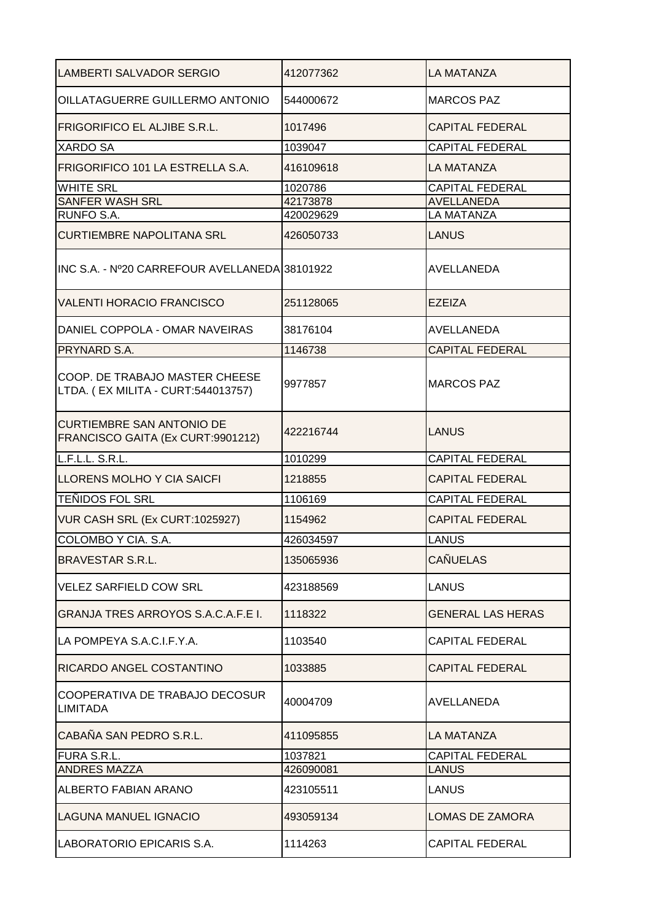| LAMBERTI SALVADOR SERGIO                                              | 412077362 | <b>LA MATANZA</b>        |
|-----------------------------------------------------------------------|-----------|--------------------------|
| OILLATAGUERRE GUILLERMO ANTONIO                                       | 544000672 | <b>MARCOS PAZ</b>        |
| <b>FRIGORIFICO EL ALJIBE S.R.L.</b>                                   | 1017496   | <b>CAPITAL FEDERAL</b>   |
| <b>XARDO SA</b>                                                       | 1039047   | <b>CAPITAL FEDERAL</b>   |
| FRIGORIFICO 101 LA ESTRELLA S.A.                                      | 416109618 | LA MATANZA               |
| <b>WHITE SRL</b>                                                      | 1020786   | <b>CAPITAL FEDERAL</b>   |
| SANFER WASH SRL                                                       | 42173878  | <b>AVELLANEDA</b>        |
| RUNFO S.A.                                                            | 420029629 | <b>LA MATANZA</b>        |
| <b>CURTIEMBRE NAPOLITANA SRL</b>                                      | 426050733 | LANUS                    |
| INC S.A. - Nº20 CARREFOUR AVELLANEDA 38101922                         |           | AVELLANEDA               |
| <b>VALENTI HORACIO FRANCISCO</b>                                      | 251128065 | <b>EZEIZA</b>            |
| DANIEL COPPOLA - OMAR NAVEIRAS                                        | 38176104  | AVELLANEDA               |
| PRYNARD S.A.                                                          | 1146738   | <b>CAPITAL FEDERAL</b>   |
| COOP. DE TRABAJO MASTER CHEESE<br>LTDA. (EX MILITA - CURT:544013757)  | 9977857   | <b>MARCOS PAZ</b>        |
| <b>CURTIEMBRE SAN ANTONIO DE</b><br>FRANCISCO GAITA (Ex CURT:9901212) | 422216744 | LANUS                    |
| L.F.L.L. S.R.L.                                                       | 1010299   | <b>CAPITAL FEDERAL</b>   |
| LLORENS MOLHO Y CIA SAICFI                                            | 1218855   | <b>CAPITAL FEDERAL</b>   |
| <b>TEÑIDOS FOL SRL</b>                                                | 1106169   | <b>CAPITAL FEDERAL</b>   |
| VUR CASH SRL (Ex CURT:1025927)                                        | 1154962   | <b>CAPITAL FEDERAL</b>   |
| COLOMBO Y CIA. S.A.                                                   | 426034597 | LANUS                    |
| <b>BRAVESTAR S.R.L.</b>                                               | 135065936 | <b>CAÑUELAS</b>          |
| <b>VELEZ SARFIELD COW SRL</b>                                         | 423188569 | <b>LANUS</b>             |
| <b>GRANJA TRES ARROYOS S.A.C.A.F.E I.</b>                             | 1118322   | <b>GENERAL LAS HERAS</b> |
| LA POMPEYA S.A.C.I.F.Y.A.                                             | 1103540   | <b>CAPITAL FEDERAL</b>   |
| RICARDO ANGEL COSTANTINO                                              | 1033885   | <b>CAPITAL FEDERAL</b>   |
| COOPERATIVA DE TRABAJO DECOSUR<br><b>LIMITADA</b>                     | 40004709  | AVELLANEDA               |
| CABAÑA SAN PEDRO S.R.L.                                               | 411095855 | LA MATANZA               |
| FURA S.R.L.                                                           | 1037821   | <b>CAPITAL FEDERAL</b>   |
| <b>ANDRES MAZZA</b>                                                   | 426090081 | <b>LANUS</b>             |
| ALBERTO FABIAN ARANO                                                  | 423105511 | LANUS                    |
| <b>LAGUNA MANUEL IGNACIO</b>                                          | 493059134 | LOMAS DE ZAMORA          |
| LABORATORIO EPICARIS S.A.                                             | 1114263   | <b>CAPITAL FEDERAL</b>   |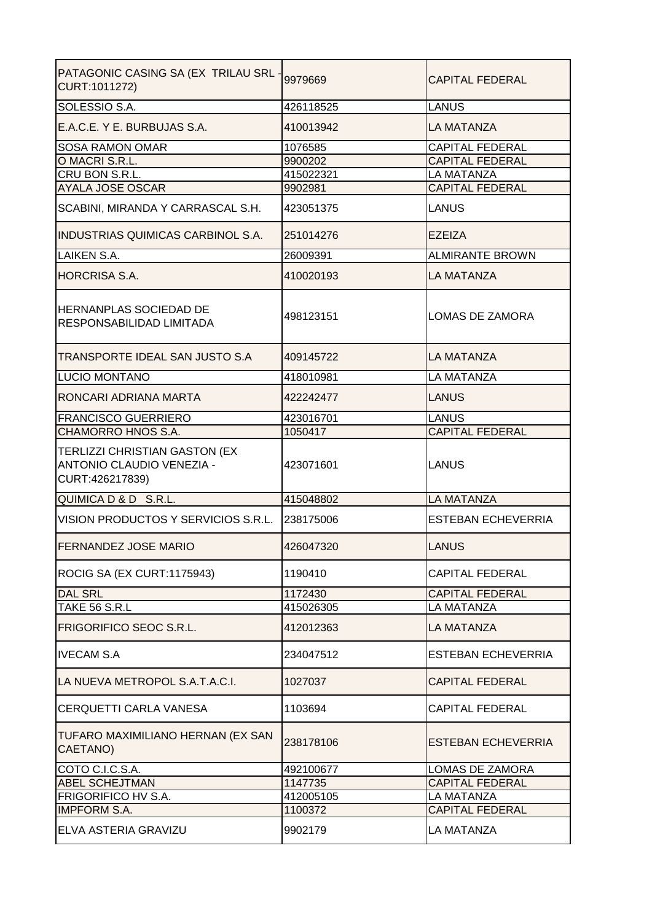| PATAGONIC CASING SA (EX TRILAU SRL -<br>CURT:1011272)                                | 9979669   | <b>CAPITAL FEDERAL</b>    |
|--------------------------------------------------------------------------------------|-----------|---------------------------|
| SOLESSIO S.A.                                                                        | 426118525 | <b>LANUS</b>              |
| E.A.C.E. Y E. BURBUJAS S.A.                                                          | 410013942 | <b>LA MATANZA</b>         |
| <b>SOSA RAMON OMAR</b>                                                               | 1076585   | <b>CAPITAL FEDERAL</b>    |
| O MACRI S.R.L.                                                                       | 9900202   | <b>CAPITAL FEDERAL</b>    |
| CRU BON S.R.L.                                                                       | 415022321 | <b>LA MATANZA</b>         |
| <b>AYALA JOSE OSCAR</b>                                                              | 9902981   | <b>CAPITAL FEDERAL</b>    |
| SCABINI, MIRANDA Y CARRASCAL S.H.                                                    | 423051375 | LANUS                     |
| <b>INDUSTRIAS QUIMICAS CARBINOL S.A.</b>                                             | 251014276 | <b>EZEIZA</b>             |
| <b>LAIKEN S.A.</b>                                                                   | 26009391  | <b>ALMIRANTE BROWN</b>    |
| <b>HORCRISA S.A.</b>                                                                 | 410020193 | LA MATANZA                |
| HERNANPLAS SOCIEDAD DE<br>RESPONSABILIDAD LIMITADA                                   | 498123151 | <b>LOMAS DE ZAMORA</b>    |
| TRANSPORTE IDEAL SAN JUSTO S.A                                                       | 409145722 | <b>LA MATANZA</b>         |
| <b>LUCIO MONTANO</b>                                                                 | 418010981 | <b>LA MATANZA</b>         |
| RONCARI ADRIANA MARTA                                                                | 422242477 | <b>LANUS</b>              |
| <b>FRANCISCO GUERRIERO</b>                                                           | 423016701 | <b>LANUS</b>              |
| CHAMORRO HNOS S.A.                                                                   | 1050417   | <b>CAPITAL FEDERAL</b>    |
| <b>TERLIZZI CHRISTIAN GASTON (EX</b><br>ANTONIO CLAUDIO VENEZIA -<br>CURT:426217839) | 423071601 | <b>LANUS</b>              |
| QUIMICA D & D S.R.L.                                                                 | 415048802 | <b>LA MATANZA</b>         |
| VISION PRODUCTOS Y SERVICIOS S.R.L. 238175006                                        |           | <b>ESTEBAN ECHEVERRIA</b> |
| IFERNANDEZ JOSE MARIO                                                                | 426047320 | ILANUS                    |
| ROCIG SA (EX CURT:1175943)                                                           | 1190410   | <b>CAPITAL FEDERAL</b>    |
| <b>DAL SRL</b>                                                                       | 1172430   | <b>CAPITAL FEDERAL</b>    |
| <b>TAKE 56 S.R.L</b>                                                                 | 415026305 | <b>LA MATANZA</b>         |
| FRIGORIFICO SEOC S.R.L.                                                              | 412012363 | <b>LA MATANZA</b>         |
| <b>IVECAM S.A</b>                                                                    | 234047512 | <b>ESTEBAN ECHEVERRIA</b> |
| LA NUEVA METROPOL S.A.T.A.C.I.                                                       | 1027037   | <b>CAPITAL FEDERAL</b>    |
| CERQUETTI CARLA VANESA                                                               | 1103694   | <b>CAPITAL FEDERAL</b>    |
| TUFARO MAXIMILIANO HERNAN (EX SAN<br>CAETANO)                                        | 238178106 | <b>ESTEBAN ECHEVERRIA</b> |
| COTO C.I.C.S.A.                                                                      | 492100677 | LOMAS DE ZAMORA           |
| <b>ABEL SCHEJTMAN</b>                                                                | 1147735   | <b>CAPITAL FEDERAL</b>    |
| FRIGORIFICO HV S.A.                                                                  | 412005105 | <b>LA MATANZA</b>         |
| <b>IMPFORM S.A.</b>                                                                  | 1100372   | <b>CAPITAL FEDERAL</b>    |
| ELVA ASTERIA GRAVIZU                                                                 | 9902179   | <b>LA MATANZA</b>         |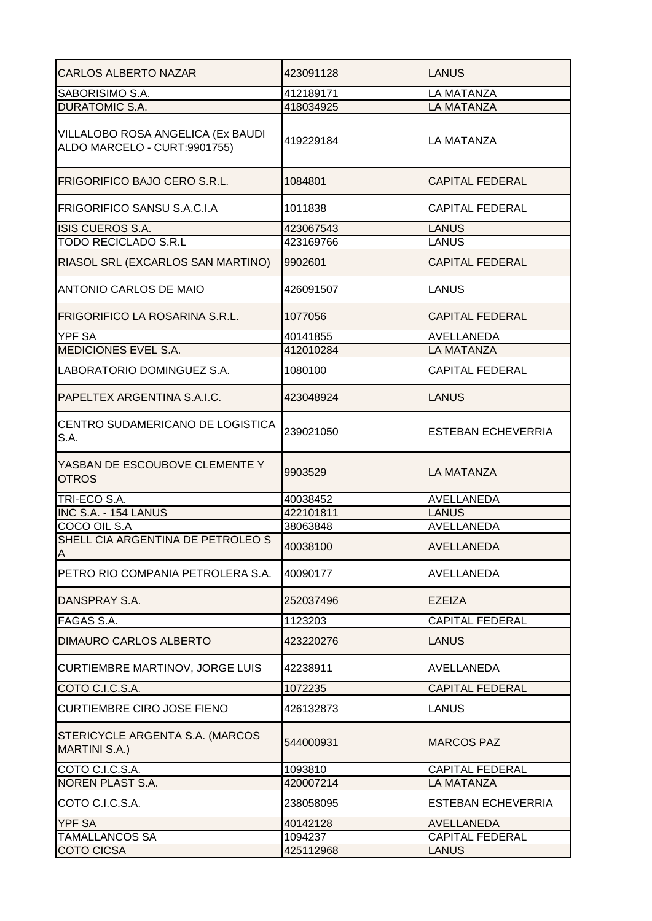| <b>CARLOS ALBERTO NAZAR</b>                                       | 423091128 | <b>LANUS</b>              |
|-------------------------------------------------------------------|-----------|---------------------------|
| SABORISIMO S.A.                                                   | 412189171 | <b>LA MATANZA</b>         |
| <b>DURATOMIC S.A.</b>                                             | 418034925 | <b>LA MATANZA</b>         |
| VILLALOBO ROSA ANGELICA (Ex BAUDI<br>ALDO MARCELO - CURT:9901755) | 419229184 | <b>LA MATANZA</b>         |
| <b>FRIGORIFICO BAJO CERO S.R.L.</b>                               | 1084801   | <b>CAPITAL FEDERAL</b>    |
| FRIGORIFICO SANSU S.A.C.I.A                                       | 1011838   | <b>CAPITAL FEDERAL</b>    |
| ISIS CUEROS S.A.                                                  | 423067543 | <b>LANUS</b>              |
| <b>TODO RECICLADO S.R.L</b>                                       | 423169766 | <b>LANUS</b>              |
| RIASOL SRL (EXCARLOS SAN MARTINO)                                 | 9902601   | <b>CAPITAL FEDERAL</b>    |
| <b>ANTONIO CARLOS DE MAIO</b>                                     | 426091507 | LANUS                     |
| FRIGORIFICO LA ROSARINA S.R.L.                                    | 1077056   | <b>CAPITAL FEDERAL</b>    |
| <b>YPF SA</b>                                                     | 40141855  | AVELLANEDA                |
| MEDICIONES EVEL S.A.                                              | 412010284 | <b>LA MATANZA</b>         |
| LABORATORIO DOMINGUEZ S.A.                                        | 1080100   | <b>CAPITAL FEDERAL</b>    |
| PAPELTEX ARGENTINA S.A.I.C.                                       | 423048924 | <b>LANUS</b>              |
| CENTRO SUDAMERICANO DE LOGISTICA<br>S.A.                          | 239021050 | <b>ESTEBAN ECHEVERRIA</b> |
| YASBAN DE ESCOUBOVE CLEMENTE Y<br><b>OTROS</b>                    | 9903529   | <b>LA MATANZA</b>         |
| TRI-ECO S.A.                                                      | 40038452  | AVELLANEDA                |
| INC S.A. - 154 LANUS                                              | 422101811 | <b>LANUS</b>              |
| COCO OIL S.A                                                      | 38063848  | AVELLANEDA                |
| SHELL CIA ARGENTINA DE PETROLEO S<br> A                           | 40038100  | <b>AVELLANEDA</b>         |
| PETRO RIO COMPANIA PETROLERA S.A.                                 | 40090177  | AVELLANEDA                |
| DANSPRAY S.A.                                                     | 252037496 | <b>EZEIZA</b>             |
| <b>FAGAS S.A.</b>                                                 | 1123203   | <b>CAPITAL FEDERAL</b>    |
| <b>DIMAURO CARLOS ALBERTO</b>                                     | 423220276 | LANUS                     |
| CURTIEMBRE MARTINOV, JORGE LUIS                                   | 42238911  | AVELLANEDA                |
| COTO C.I.C.S.A.                                                   | 1072235   | <b>CAPITAL FEDERAL</b>    |
| <b>CURTIEMBRE CIRO JOSE FIENO</b>                                 | 426132873 | LANUS                     |
| STERICYCLE ARGENTA S.A. (MARCOS<br><b>MARTINI S.A.)</b>           | 544000931 | <b>MARCOS PAZ</b>         |
| COTO C.I.C.S.A.                                                   | 1093810   | <b>CAPITAL FEDERAL</b>    |
| NOREN PLAST S.A.                                                  | 420007214 | <b>LA MATANZA</b>         |
| COTO C.I.C.S.A.                                                   | 238058095 | <b>ESTEBAN ECHEVERRIA</b> |
| <b>YPF SA</b>                                                     | 40142128  | <b>AVELLANEDA</b>         |
| <b>TAMALLANCOS SA</b>                                             | 1094237   | <b>CAPITAL FEDERAL</b>    |
| <b>COTO CICSA</b>                                                 | 425112968 | <b>LANUS</b>              |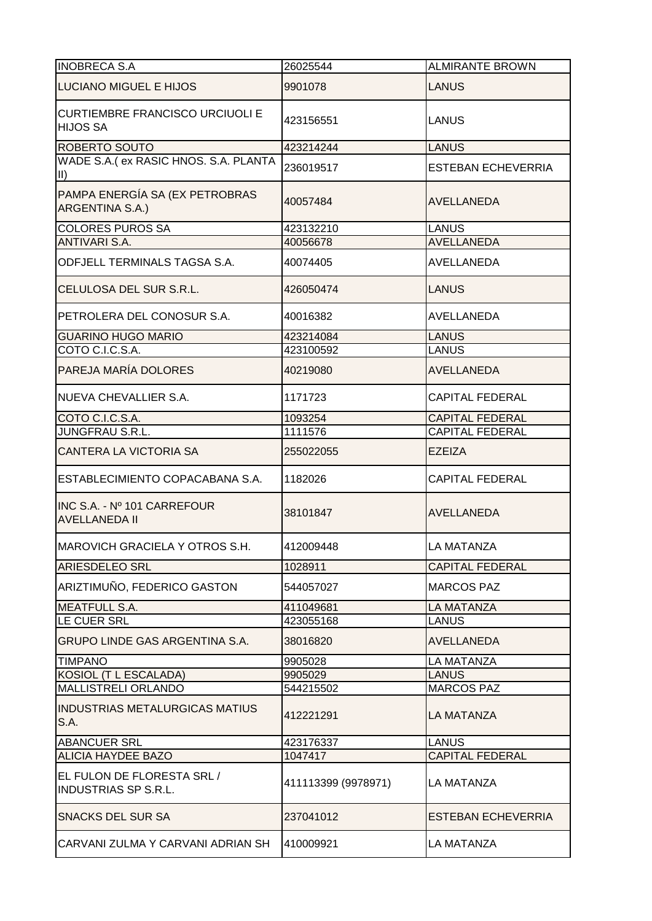| 26025544            | <b>ALMIRANTE BROWN</b>                          |
|---------------------|-------------------------------------------------|
| 9901078             | LANUS                                           |
| 423156551           | <b>LANUS</b>                                    |
| 423214244           | <b>LANUS</b>                                    |
|                     | <b>ESTEBAN ECHEVERRIA</b>                       |
|                     |                                                 |
| 40057484            | <b>AVELLANEDA</b>                               |
|                     | <b>LANUS</b>                                    |
|                     | <b>AVELLANEDA</b>                               |
| 40074405            | AVELLANEDA                                      |
| 426050474           | <b>LANUS</b>                                    |
| 40016382            | AVELLANEDA                                      |
| 423214084           | <b>LANUS</b>                                    |
|                     | <b>LANUS</b>                                    |
| 40219080            | <b>AVELLANEDA</b>                               |
| 1171723             | <b>CAPITAL FEDERAL</b>                          |
| 1093254             | <b>CAPITAL FEDERAL</b>                          |
| 1111576             | <b>CAPITAL FEDERAL</b>                          |
| 255022055           | <b>EZEIZA</b>                                   |
| 1182026             | <b>CAPITAL FEDERAL</b>                          |
| 38101847            | <b>AVELLANEDA</b>                               |
| 412009448           | LA MATANZA                                      |
| 1028911             | <b>CAPITAL FEDERAL</b>                          |
| 544057027           | <b>MARCOS PAZ</b>                               |
| 411049681           | <b>LA MATANZA</b>                               |
| 423055168           | <b>LANUS</b>                                    |
| 38016820            | <b>AVELLANEDA</b>                               |
| 9905028             | <b>LA MATANZA</b>                               |
| 9905029             | <b>LANUS</b>                                    |
| 544215502           | <b>MARCOS PAZ</b>                               |
| 412221291           | LA MATANZA                                      |
| 423176337           | <b>LANUS</b>                                    |
| 1047417             | <b>CAPITAL FEDERAL</b>                          |
| 411113399 (9978971) | <b>LA MATANZA</b>                               |
| 237041012           | <b>ESTEBAN ECHEVERRIA</b>                       |
| 410009921           | <b>LA MATANZA</b>                               |
|                     | 236019517<br>423132210<br>40056678<br>423100592 |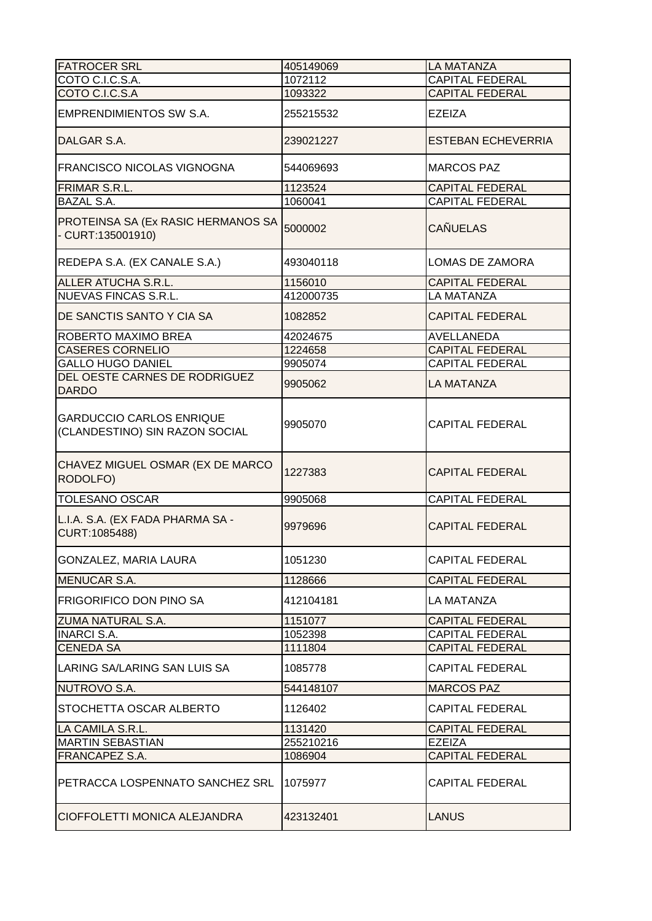| <b>FATROCER SRL</b>                                               | 405149069 | <b>LA MATANZA</b>         |
|-------------------------------------------------------------------|-----------|---------------------------|
| COTO C.I.C.S.A.                                                   | 1072112   | <b>CAPITAL FEDERAL</b>    |
| COTO C.I.C.S.A                                                    | 1093322   | <b>CAPITAL FEDERAL</b>    |
| EMPRENDIMIENTOS SW S.A.                                           | 255215532 | <b>EZEIZA</b>             |
| DALGAR S.A.                                                       | 239021227 | <b>ESTEBAN ECHEVERRIA</b> |
| <b>FRANCISCO NICOLAS VIGNOGNA</b>                                 | 544069693 | <b>MARCOS PAZ</b>         |
| FRIMAR S.R.L.                                                     | 1123524   | <b>CAPITAL FEDERAL</b>    |
| <b>BAZAL S.A.</b>                                                 | 1060041   | <b>CAPITAL FEDERAL</b>    |
| PROTEINSA SA (Ex RASIC HERMANOS SA<br>- CURT:135001910)           | 5000002   | <b>CAÑUELAS</b>           |
| REDEPA S.A. (EX CANALE S.A.)                                      | 493040118 | LOMAS DE ZAMORA           |
| <b>ALLER ATUCHA S.R.L.</b>                                        | 1156010   | <b>CAPITAL FEDERAL</b>    |
| <b>NUEVAS FINCAS S.R.L.</b>                                       | 412000735 | LA MATANZA                |
| DE SANCTIS SANTO Y CIA SA                                         | 1082852   | <b>CAPITAL FEDERAL</b>    |
| ROBERTO MAXIMO BREA                                               | 42024675  | AVELLANEDA                |
| <b>CASERES CORNELIO</b>                                           | 1224658   | <b>CAPITAL FEDERAL</b>    |
| <b>GALLO HUGO DANIEL</b>                                          | 9905074   | <b>CAPITAL FEDERAL</b>    |
| DEL OESTE CARNES DE RODRIGUEZ<br><b>DARDO</b>                     | 9905062   | LA MATANZA                |
| <b>GARDUCCIO CARLOS ENRIQUE</b><br>(CLANDESTINO) SIN RAZON SOCIAL | 9905070   | <b>CAPITAL FEDERAL</b>    |
| CHAVEZ MIGUEL OSMAR (EX DE MARCO<br>RODOLFO)                      | 1227383   | <b>CAPITAL FEDERAL</b>    |
| <b>TOLESANO OSCAR</b>                                             | 9905068   | <b>CAPITAL FEDERAL</b>    |
| L.I.A. S.A. (EX FADA PHARMA SA -<br>CURT:1085488)                 | 9979696   | <b>CAPITAL FEDERAL</b>    |
| GONZALEZ, MARIA LAURA                                             | 1051230   | <b>CAPITAL FEDERAL</b>    |
| <b>MENUCAR S.A.</b>                                               | 1128666   | <b>CAPITAL FEDERAL</b>    |
| FRIGORIFICO DON PINO SA                                           | 412104181 | LA MATANZA                |
| <b>ZUMA NATURAL S.A.</b>                                          | 1151077   | <b>CAPITAL FEDERAL</b>    |
| <b>INARCI S.A.</b>                                                | 1052398   | <b>CAPITAL FEDERAL</b>    |
| <b>CENEDA SA</b>                                                  | 1111804   | <b>CAPITAL FEDERAL</b>    |
| LARING SA/LARING SAN LUIS SA                                      | 1085778   | <b>CAPITAL FEDERAL</b>    |
| NUTROVO S.A.                                                      | 544148107 | <b>MARCOS PAZ</b>         |
| STOCHETTA OSCAR ALBERTO                                           | 1126402   | <b>CAPITAL FEDERAL</b>    |
| LA CAMILA S.R.L.                                                  | 1131420   | <b>CAPITAL FEDERAL</b>    |
| <b>MARTIN SEBASTIAN</b>                                           | 255210216 | <b>EZEIZA</b>             |
| FRANCAPEZ S.A.                                                    | 1086904   | <b>CAPITAL FEDERAL</b>    |
| PETRACCA LOSPENNATO SANCHEZ SRL                                   | 1075977   | <b>CAPITAL FEDERAL</b>    |
| CIOFFOLETTI MONICA ALEJANDRA                                      | 423132401 | <b>LANUS</b>              |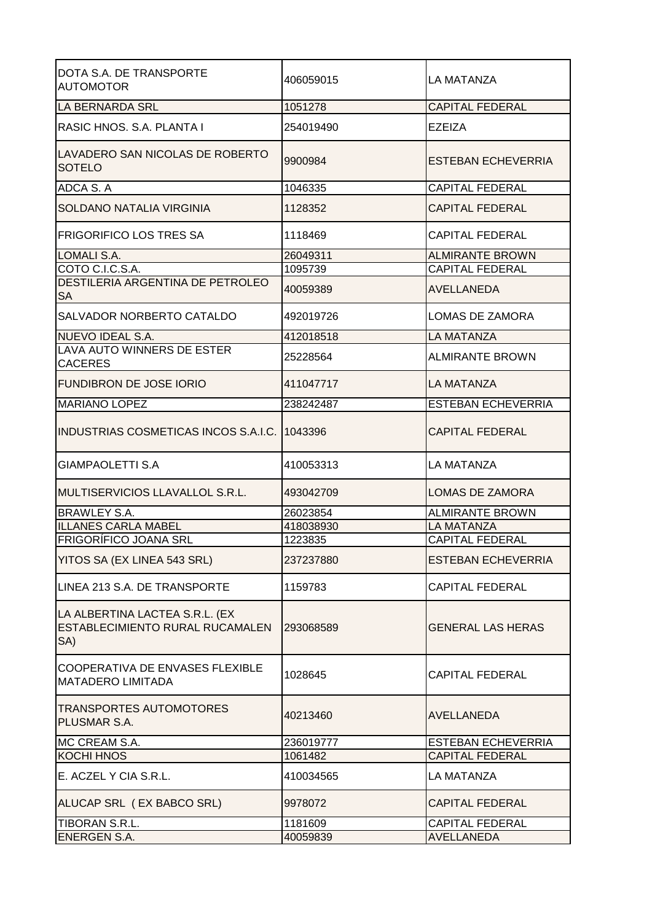| DOTA S.A. DE TRANSPORTE<br><b>AUTOMOTOR</b>                              | 406059015           | LA MATANZA                                  |
|--------------------------------------------------------------------------|---------------------|---------------------------------------------|
| <b>LA BERNARDA SRL</b>                                                   | 1051278             | <b>CAPITAL FEDERAL</b>                      |
| RASIC HNOS, S.A. PLANTA I                                                | 254019490           | EZEIZA                                      |
| LAVADERO SAN NICOLAS DE ROBERTO<br><b>SOTELO</b>                         | 9900984             | ESTEBAN ECHEVERRIA                          |
| ADCA S.A                                                                 | 1046335             | <b>CAPITAL FEDERAL</b>                      |
| SOLDANO NATALIA VIRGINIA                                                 | 1128352             | <b>CAPITAL FEDERAL</b>                      |
| <b>FRIGORIFICO LOS TRES SA</b>                                           | 1118469             | <b>CAPITAL FEDERAL</b>                      |
| LOMALI S.A.                                                              | 26049311            | <b>ALMIRANTE BROWN</b>                      |
| COTO C.I.C.S.A.                                                          | 1095739             | <b>CAPITAL FEDERAL</b>                      |
| DESTILERIA ARGENTINA DE PETROLEO<br>SA                                   | 40059389            | AVELLANEDA                                  |
| SALVADOR NORBERTO CATALDO                                                | 492019726           | LOMAS DE ZAMORA                             |
| NUEVO IDEAL S.A.                                                         | 412018518           | <b>LA MATANZA</b>                           |
| LAVA AUTO WINNERS DE ESTER<br><b>CACERES</b>                             | 25228564            | <b>ALMIRANTE BROWN</b>                      |
| FUNDIBRON DE JOSE IORIO                                                  | 411047717           | LA MATANZA                                  |
| <b>MARIANO LOPEZ</b>                                                     | 238242487           | <b>ESTEBAN ECHEVERRIA</b>                   |
| <b>INDUSTRIAS COSMETICAS INCOS S.A.I.C.</b>                              | 1043396             | <b>CAPITAL FEDERAL</b>                      |
| <b>GIAMPAOLETTI S.A</b>                                                  | 410053313           | LA MATANZA                                  |
| MULTISERVICIOS LLAVALLOL S.R.L.                                          | 493042709           | <b>LOMAS DE ZAMORA</b>                      |
| <b>BRAWLEY S.A.</b>                                                      | 26023854            | <b>ALMIRANTE BROWN</b>                      |
| <b>ILLANES CARLA MABEL</b>                                               | 418038930           | LA MATANZA                                  |
| FRIGORÍFICO JOANA SRL                                                    | 1223835             | <b>CAPITAL FEDERAL</b>                      |
| YITOS SA (EX LINEA 543 SRL)                                              | 237237880           | <b>ESTEBAN ECHEVERRIA</b>                   |
| LINEA 213 S.A. DE TRANSPORTE                                             | 1159783             | <b>CAPITAL FEDERAL</b>                      |
| LA ALBERTINA LACTEA S.R.L. (EX<br>ESTABLECIMIENTO RURAL RUCAMALEN<br>SA) | 293068589           | <b>GENERAL LAS HERAS</b>                    |
| COOPERATIVA DE ENVASES FLEXIBLE<br><b>MATADERO LIMITADA</b>              | 1028645             | <b>CAPITAL FEDERAL</b>                      |
| <b>TRANSPORTES AUTOMOTORES</b><br>PLUSMAR S.A.                           | 40213460            | AVELLANEDA                                  |
| MC CREAM S.A.                                                            | 236019777           | <b>ESTEBAN ECHEVERRIA</b>                   |
| <b>KOCHI HNOS</b>                                                        | 1061482             | <b>CAPITAL FEDERAL</b>                      |
| E. ACZEL Y CIA S.R.L.                                                    | 410034565           | LA MATANZA                                  |
|                                                                          |                     |                                             |
| ALUCAP SRL (EX BABCO SRL)                                                | 9978072             | <b>CAPITAL FEDERAL</b>                      |
| TIBORAN S.R.L.<br><b>ENERGEN S.A.</b>                                    | 1181609<br>40059839 | <b>CAPITAL FEDERAL</b><br><b>AVELLANEDA</b> |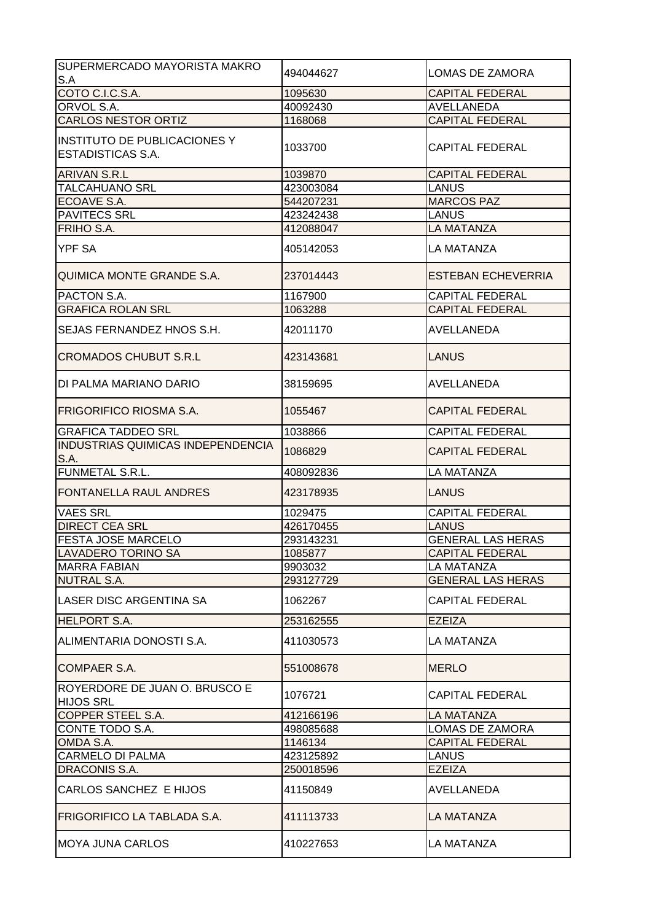| SUPERMERCADO MAYORISTA MAKRO<br>S.A                             | 494044627 | <b>LOMAS DE ZAMORA</b>    |
|-----------------------------------------------------------------|-----------|---------------------------|
| COTO C.I.C.S.A.                                                 | 1095630   | <b>CAPITAL FEDERAL</b>    |
| ORVOL S.A.                                                      | 40092430  | <b>AVELLANEDA</b>         |
| <b>CARLOS NESTOR ORTIZ</b>                                      | 1168068   | <b>CAPITAL FEDERAL</b>    |
| <b>INSTITUTO DE PUBLICACIONES Y</b><br><b>ESTADISTICAS S.A.</b> | 1033700   | <b>CAPITAL FEDERAL</b>    |
| <b>ARIVAN S.R.L</b>                                             | 1039870   | <b>CAPITAL FEDERAL</b>    |
| <b>TALCAHUANO SRL</b>                                           | 423003084 | <b>LANUS</b>              |
| ECOAVE S.A.                                                     | 544207231 | <b>MARCOS PAZ</b>         |
| <b>PAVITECS SRL</b>                                             | 423242438 | <b>LANUS</b>              |
| FRIHO S.A.                                                      | 412088047 | <b>LA MATANZA</b>         |
|                                                                 |           |                           |
| <b>YPF SA</b>                                                   | 405142053 | <b>LA MATANZA</b>         |
| QUIMICA MONTE GRANDE S.A.                                       | 237014443 | <b>ESTEBAN ECHEVERRIA</b> |
| PACTON S.A.                                                     | 1167900   | <b>CAPITAL FEDERAL</b>    |
| <b>GRAFICA ROLAN SRL</b>                                        | 1063288   | <b>CAPITAL FEDERAL</b>    |
| SEJAS FERNANDEZ HNOS S.H.                                       | 42011170  | AVELLANEDA                |
| <b>CROMADOS CHUBUT S.R.L</b>                                    | 423143681 | LANUS                     |
| DI PALMA MARIANO DARIO                                          | 38159695  | AVELLANEDA                |
| FRIGORIFICO RIOSMA S.A.                                         | 1055467   | <b>CAPITAL FEDERAL</b>    |
| <b>GRAFICA TADDEO SRL</b>                                       | 1038866   | <b>CAPITAL FEDERAL</b>    |
| INDUSTRIAS QUIMICAS INDEPENDENCIA<br>S.A.                       | 1086829   | <b>CAPITAL FEDERAL</b>    |
| <b>FUNMETAL S.R.L.</b>                                          | 408092836 | <b>LA MATANZA</b>         |
| FONTANELLA RAUL ANDRES                                          | 423178935 | <b>LANUS</b>              |
| <b>VAES SRL</b>                                                 | 1029475   | <b>CAPITAL FEDERAL</b>    |
| <b>DIRECT CEA SRL</b>                                           | 426170455 | <b>LANUS</b>              |
| FESTA JOSE MARCELO                                              | 293143231 | <b>GENERAL LAS HERAS</b>  |
| LAVADERO TORINO SA                                              | 1085877   | CAPITAL FEDERAL           |
| <b>MARRA FABIAN</b>                                             | 9903032   | LA MATANZA                |
|                                                                 |           |                           |
| NUTRAL S.A.                                                     | 293127729 | <b>GENERAL LAS HERAS</b>  |
| LASER DISC ARGENTINA SA                                         | 1062267   | <b>CAPITAL FEDERAL</b>    |
| <b>HELPORT S.A.</b>                                             | 253162555 | <b>EZEIZA</b>             |
| ALIMENTARIA DONOSTI S.A.                                        | 411030573 | LA MATANZA                |
| COMPAER S.A.                                                    | 551008678 | <b>MERLO</b>              |
| ROYERDORE DE JUAN O. BRUSCO E<br><b>HIJOS SRL</b>               | 1076721   | <b>CAPITAL FEDERAL</b>    |
| COPPER STEEL S.A.                                               | 412166196 | <b>LA MATANZA</b>         |
| CONTE TODO S.A.                                                 | 498085688 | LOMAS DE ZAMORA           |
| OMDA S.A.                                                       | 1146134   | <b>CAPITAL FEDERAL</b>    |
| <b>CARMELO DI PALMA</b>                                         | 423125892 | <b>LANUS</b>              |
| DRACONIS S.A.                                                   | 250018596 | <b>EZEIZA</b>             |
|                                                                 |           |                           |
| CARLOS SANCHEZ E HIJOS                                          | 41150849  | AVELLANEDA                |
| FRIGORIFICO LA TABLADA S.A.                                     | 411113733 | LA MATANZA                |
| <b>MOYA JUNA CARLOS</b>                                         | 410227653 | LA MATANZA                |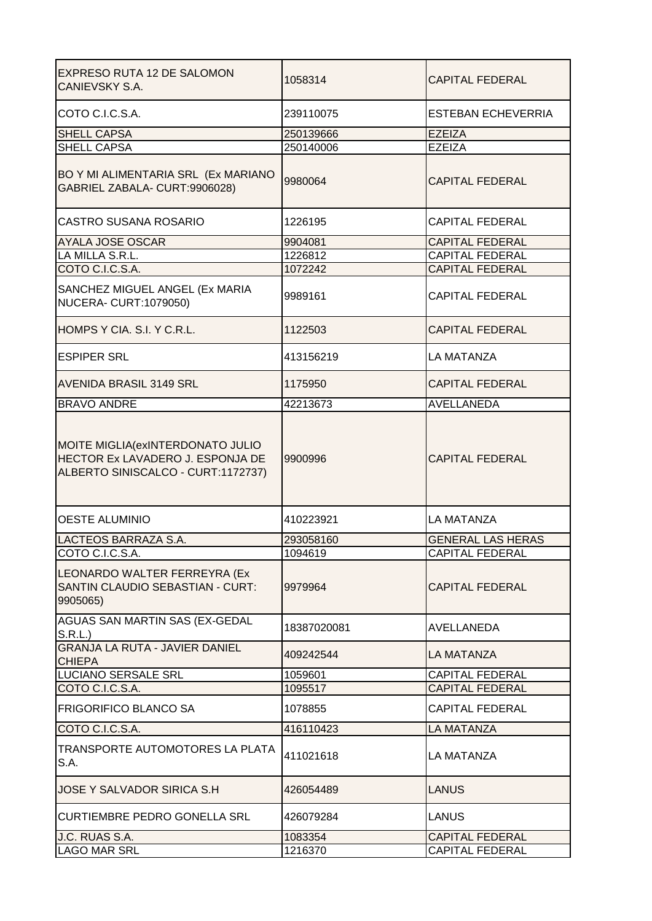| EXPRESO RUTA 12 DE SALOMON<br>CANIEVSKY S.A.                                                                | 1058314     | <b>CAPITAL FEDERAL</b>   |
|-------------------------------------------------------------------------------------------------------------|-------------|--------------------------|
| COTO C.I.C.S.A.                                                                                             | 239110075   | ESTEBAN ECHEVERRIA       |
| <b>SHELL CAPSA</b>                                                                                          | 250139666   | <b>EZEIZA</b>            |
| <b>SHELL CAPSA</b>                                                                                          | 250140006   | <b>EZEIZA</b>            |
| BO Y MI ALIMENTARIA SRL (Ex MARIANO<br>GABRIEL ZABALA- CURT:9906028)                                        | 9980064     | <b>CAPITAL FEDERAL</b>   |
| CASTRO SUSANA ROSARIO                                                                                       | 1226195     | <b>CAPITAL FEDERAL</b>   |
| AYALA JOSE OSCAR                                                                                            | 9904081     | <b>CAPITAL FEDERAL</b>   |
| LA MILLA S.R.L.                                                                                             | 1226812     | <b>CAPITAL FEDERAL</b>   |
| COTO C.I.C.S.A.                                                                                             | 1072242     | <b>CAPITAL FEDERAL</b>   |
| SANCHEZ MIGUEL ANGEL (Ex MARIA<br><b>NUCERA- CURT:1079050)</b>                                              | 9989161     | <b>CAPITAL FEDERAL</b>   |
| HOMPS Y CIA. S.I. Y C.R.L.                                                                                  | 1122503     | <b>CAPITAL FEDERAL</b>   |
| <b>ESPIPER SRL</b>                                                                                          | 413156219   | LA MATANZA               |
| <b>AVENIDA BRASIL 3149 SRL</b>                                                                              | 1175950     | <b>CAPITAL FEDERAL</b>   |
| <b>BRAVO ANDRE</b>                                                                                          | 42213673    | <b>AVELLANEDA</b>        |
| MOITE MIGLIA (exINTERDONATO JULIO<br>HECTOR Ex LAVADERO J. ESPONJA DE<br>ALBERTO SINISCALCO - CURT:1172737) | 9900996     | <b>CAPITAL FEDERAL</b>   |
| <b>OESTE ALUMINIO</b>                                                                                       | 410223921   | <b>LA MATANZA</b>        |
| LACTEOS BARRAZA S.A.                                                                                        | 293058160   | <b>GENERAL LAS HERAS</b> |
| COTO C.I.C.S.A.                                                                                             | 1094619     | CAPITAL FEDERAL          |
| LEONARDO WALTER FERREYRA (Ex<br>SANTIN CLAUDIO SEBASTIAN - CURT:<br>9905065)                                | 9979964     | <b>CAPITAL FEDERAL</b>   |
| <b>AGUAS SAN MARTIN SAS (EX-GEDAL</b><br>S.R.L.                                                             | 18387020081 | AVELLANEDA               |
| <b>GRANJA LA RUTA - JAVIER DANIEL</b><br><b>CHIEPA</b>                                                      | 409242544   | <b>LA MATANZA</b>        |
| <b>LUCIANO SERSALE SRL</b>                                                                                  | 1059601     | <b>CAPITAL FEDERAL</b>   |
| COTO C.I.C.S.A.                                                                                             | 1095517     | <b>CAPITAL FEDERAL</b>   |
| <b>FRIGORIFICO BLANCO SA</b>                                                                                | 1078855     | <b>CAPITAL FEDERAL</b>   |
| COTO C.I.C.S.A.                                                                                             | 416110423   | <b>LA MATANZA</b>        |
| TRANSPORTE AUTOMOTORES LA PLATA<br>S.A.                                                                     | 411021618   | LA MATANZA               |
| JOSE Y SALVADOR SIRICA S.H                                                                                  | 426054489   | LANUS                    |
| <b>CURTIEMBRE PEDRO GONELLA SRL</b>                                                                         | 426079284   | <b>LANUS</b>             |
| J.C. RUAS S.A.                                                                                              | 1083354     | <b>CAPITAL FEDERAL</b>   |
| <b>LAGO MAR SRL</b>                                                                                         | 1216370     | <b>CAPITAL FEDERAL</b>   |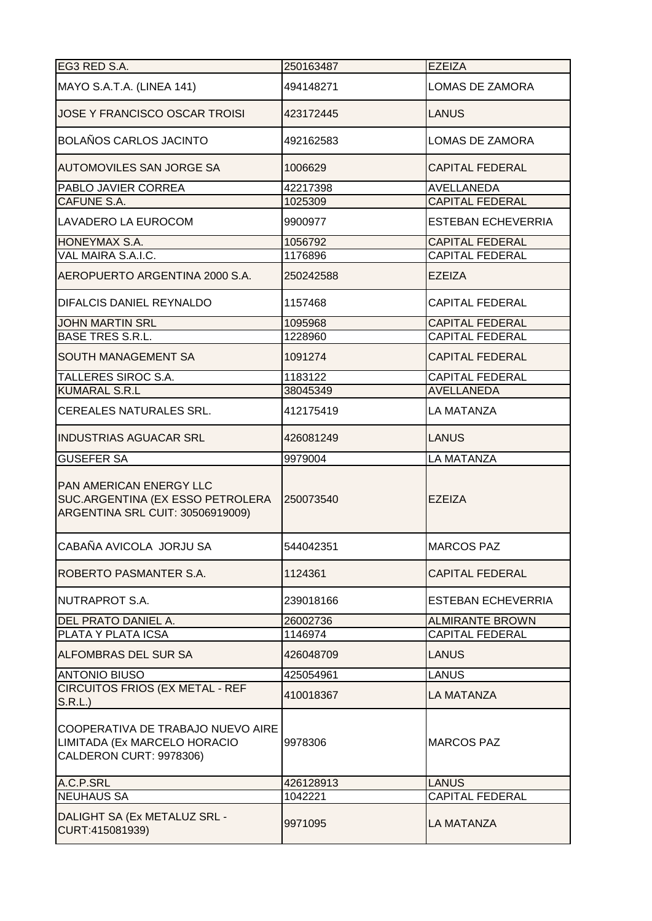| EG3 RED S.A.                                                                                           | 250163487  | <b>EZEIZA</b>             |
|--------------------------------------------------------------------------------------------------------|------------|---------------------------|
| MAYO S.A.T.A. (LINEA 141)                                                                              | 494148271  | LOMAS DE ZAMORA           |
| JOSE Y FRANCISCO OSCAR TROISI                                                                          | 423172445  | LANUS                     |
| <b>BOLAÑOS CARLOS JACINTO</b>                                                                          | 492162583  | LOMAS DE ZAMORA           |
| <b>AUTOMOVILES SAN JORGE SA</b>                                                                        | 1006629    | <b>CAPITAL FEDERAL</b>    |
| PABLO JAVIER CORREA                                                                                    | 42217398   | AVELLANEDA                |
| <b>CAFUNE S.A.</b>                                                                                     | 1025309    | <b>CAPITAL FEDERAL</b>    |
| LAVADERO LA EUROCOM                                                                                    | 9900977    | <b>ESTEBAN ECHEVERRIA</b> |
| <b>HONEYMAX S.A.</b>                                                                                   | 1056792    | <b>CAPITAL FEDERAL</b>    |
| VAL MAIRA S.A.I.C.                                                                                     | 1176896    | <b>CAPITAL FEDERAL</b>    |
| AEROPUERTO ARGENTINA 2000 S.A.                                                                         | 250242588  | <b>EZEIZA</b>             |
| DIFALCIS DANIEL REYNALDO                                                                               | 1157468    | <b>CAPITAL FEDERAL</b>    |
| <b>JOHN MARTIN SRL</b>                                                                                 | 1095968    | <b>CAPITAL FEDERAL</b>    |
| <b>BASE TRES S.R.L.</b>                                                                                | 1228960    | <b>CAPITAL FEDERAL</b>    |
| <b>SOUTH MANAGEMENT SA</b>                                                                             | 1091274    | <b>CAPITAL FEDERAL</b>    |
| TALLERES SIROC S.A.                                                                                    | 1183122    | <b>CAPITAL FEDERAL</b>    |
| <b>KUMARAL S.R.L</b>                                                                                   | 38045349   | <b>AVELLANEDA</b>         |
| CEREALES NATURALES SRL.                                                                                | 412175419  | LA MATANZA                |
| <b>INDUSTRIAS AGUACAR SRL</b>                                                                          | 426081249  | LANUS                     |
| <b>GUSEFER SA</b>                                                                                      | 9979004    | <b>LA MATANZA</b>         |
| <b>PAN AMERICAN ENERGY LLC</b><br>SUC.ARGENTINA (EX ESSO PETROLERA<br>ARGENTINA SRL CUIT: 30506919009) | 1250073540 | <b>EZEIZA</b>             |
| ICABAÑA AVICOLA JORJU SA                                                                               | 544042351  | IMARCOS PAZ               |
| ROBERTO PASMANTER S.A.                                                                                 | 1124361    | <b>CAPITAL FEDERAL</b>    |
| NUTRAPROT S.A.                                                                                         | 239018166  | <b>ESTEBAN ECHEVERRIA</b> |
| DEL PRATO DANIEL A.                                                                                    | 26002736   | <b>ALMIRANTE BROWN</b>    |
| PLATA Y PLATA ICSA                                                                                     | 1146974    | <b>CAPITAL FEDERAL</b>    |
| <b>ALFOMBRAS DEL SUR SA</b>                                                                            | 426048709  | <b>LANUS</b>              |
| <b>ANTONIO BIUSO</b>                                                                                   | 425054961  | <b>LANUS</b>              |
| CIRCUITOS FRIOS (EX METAL - REF<br>S.R.L.                                                              | 410018367  | <b>LA MATANZA</b>         |
| COOPERATIVA DE TRABAJO NUEVO AIRE<br>LIMITADA (Ex MARCELO HORACIO<br>CALDERON CURT: 9978306)           | 9978306    | <b>MARCOS PAZ</b>         |
| A.C.P.SRL                                                                                              | 426128913  | <b>LANUS</b>              |
| <b>NEUHAUS SA</b>                                                                                      | 1042221    | <b>CAPITAL FEDERAL</b>    |
| DALIGHT SA (Ex METALUZ SRL -<br>CURT:415081939)                                                        | 9971095    | LA MATANZA                |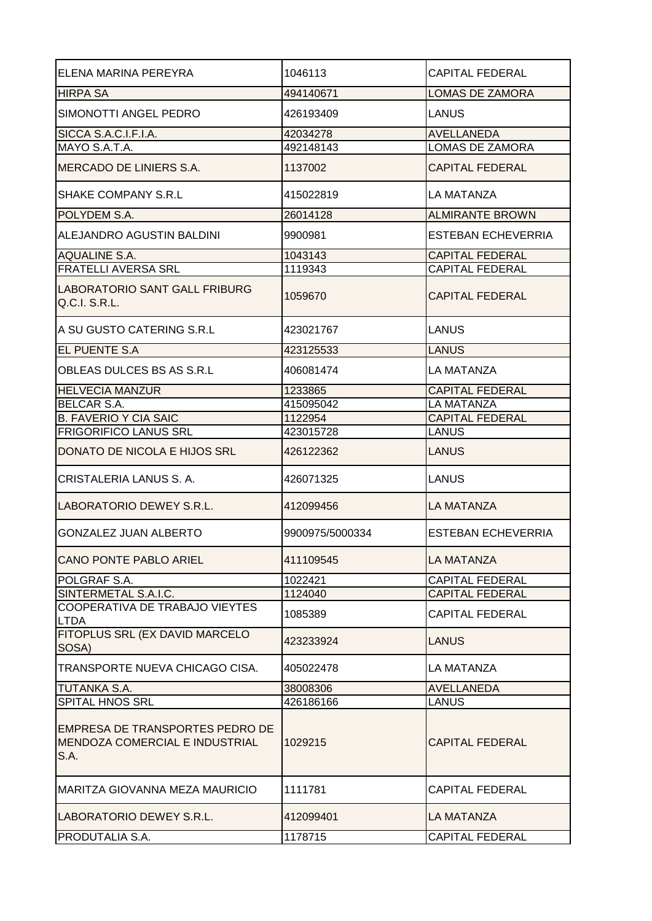| ELENA MARINA PEREYRA                                                             | 1046113         | <b>CAPITAL FEDERAL</b>    |
|----------------------------------------------------------------------------------|-----------------|---------------------------|
| <b>HIRPA SA</b>                                                                  | 494140671       | <b>LOMAS DE ZAMORA</b>    |
| SIMONOTTI ANGEL PEDRO                                                            | 426193409       | <b>LANUS</b>              |
| SICCA S.A.C.I.F.I.A.                                                             | 42034278        | <b>AVELLANEDA</b>         |
| MAYO S.A.T.A.                                                                    | 492148143       | LOMAS DE ZAMORA           |
| MERCADO DE LINIERS S.A.                                                          | 1137002         | <b>CAPITAL FEDERAL</b>    |
| SHAKE COMPANY S.R.L.                                                             | 415022819       | LA MATANZA                |
| POLYDEM S.A.                                                                     | 26014128        | <b>ALMIRANTE BROWN</b>    |
| ALEJANDRO AGUSTIN BALDINI                                                        | 9900981         | <b>ESTEBAN ECHEVERRIA</b> |
| <b>AQUALINE S.A.</b>                                                             | 1043143         | <b>CAPITAL FEDERAL</b>    |
| <b>FRATELLI AVERSA SRL</b>                                                       | 1119343         | <b>CAPITAL FEDERAL</b>    |
| <b>LABORATORIO SANT GALL FRIBURG</b><br>Q.C.I. S.R.L.                            | 1059670         | <b>CAPITAL FEDERAL</b>    |
| A SU GUSTO CATERING S.R.L                                                        | 423021767       | LANUS                     |
| EL PUENTE S.A                                                                    | 423125533       | <b>LANUS</b>              |
| OBLEAS DULCES BS AS S.R.L                                                        | 406081474       | <b>LA MATANZA</b>         |
| <b>HELVECIA MANZUR</b>                                                           | 1233865         | <b>CAPITAL FEDERAL</b>    |
| <b>BELCAR S.A.</b>                                                               | 415095042       | LA MATANZA                |
| <b>B. FAVERIO Y CIA SAIC</b>                                                     | 1122954         | <b>CAPITAL FEDERAL</b>    |
| <b>FRIGORIFICO LANUS SRL</b>                                                     | 423015728       | <b>LANUS</b>              |
| DONATO DE NICOLA E HIJOS SRL                                                     | 426122362       | <b>LANUS</b>              |
| CRISTALERIA LANUS S. A.                                                          | 426071325       | LANUS                     |
| LABORATORIO DEWEY S.R.L.                                                         | 412099456       | LA MATANZA                |
| <b>GONZALEZ JUAN ALBERTO</b>                                                     | 9900975/5000334 | <b>ESTEBAN ECHEVERRIA</b> |
| <b>CANO PONTE PABLO ARIEL</b>                                                    | 411109545       | <b>LA MATANZA</b>         |
| POLGRAF S.A.                                                                     | 1022421         | <b>CAPITAL FEDERAL</b>    |
| SINTERMETAL S.A.I.C.                                                             | 1124040         | <b>CAPITAL FEDERAL</b>    |
| COOPERATIVA DE TRABAJO VIEYTES<br><b>LTDA</b>                                    | 1085389         | <b>CAPITAL FEDERAL</b>    |
| FITOPLUS SRL (EX DAVID MARCELO<br>SOSA)                                          | 423233924       | <b>LANUS</b>              |
| TRANSPORTE NUEVA CHICAGO CISA.                                                   | 405022478       | LA MATANZA                |
| <b>TUTANKA S.A.</b>                                                              | 38008306        | <b>AVELLANEDA</b>         |
| <b>SPITAL HNOS SRL</b>                                                           | 426186166       | <b>LANUS</b>              |
| <b>EMPRESA DE TRANSPORTES PEDRO DE</b><br>MENDOZA COMERCIAL E INDUSTRIAL<br>S.A. | 1029215         | <b>CAPITAL FEDERAL</b>    |
| <b>MARITZA GIOVANNA MEZA MAURICIO</b>                                            | 1111781         | <b>CAPITAL FEDERAL</b>    |
| LABORATORIO DEWEY S.R.L.                                                         | 412099401       | LA MATANZA                |
| <b>PRODUTALIA S.A.</b>                                                           | 1178715         | <b>CAPITAL FEDERAL</b>    |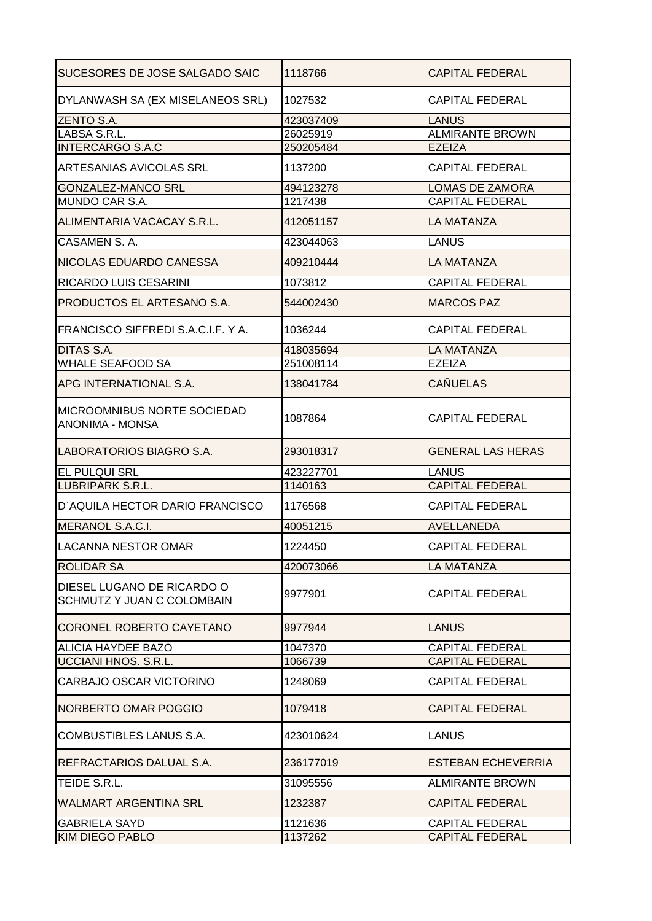| <b>SUCESORES DE JOSE SALGADO SAIC</b>                           | 1118766   | <b>CAPITAL FEDERAL</b>    |
|-----------------------------------------------------------------|-----------|---------------------------|
| DYLANWASH SA (EX MISELANEOS SRL)                                | 1027532   | <b>CAPITAL FEDERAL</b>    |
| <b>ZENTO S.A.</b>                                               | 423037409 | <b>LANUS</b>              |
| LABSA S.R.L.                                                    | 26025919  | <b>ALMIRANTE BROWN</b>    |
| <b>INTERCARGO S.A.C</b>                                         | 250205484 | <b>EZEIZA</b>             |
| <b>ARTESANIAS AVICOLAS SRL</b>                                  | 1137200   | <b>CAPITAL FEDERAL</b>    |
| GONZALEZ-MANCO SRL                                              | 494123278 | <b>LOMAS DE ZAMORA</b>    |
| MUNDO CAR S.A.                                                  | 1217438   | <b>CAPITAL FEDERAL</b>    |
| ALIMENTARIA VACACAY S.R.L.                                      | 412051157 | LA MATANZA                |
| CASAMEN S.A.                                                    | 423044063 | <b>LANUS</b>              |
| NICOLAS EDUARDO CANESSA                                         | 409210444 | <b>LA MATANZA</b>         |
| RICARDO LUIS CESARINI                                           | 1073812   | <b>CAPITAL FEDERAL</b>    |
| PRODUCTOS EL ARTESANO S.A.                                      | 544002430 | <b>MARCOS PAZ</b>         |
| FRANCISCO SIFFREDI S.A.C.I.F. Y A.                              | 1036244   | <b>CAPITAL FEDERAL</b>    |
| DITAS S.A.                                                      | 418035694 | <b>LA MATANZA</b>         |
| <b>WHALE SEAFOOD SA</b>                                         | 251008114 | <b>EZEIZA</b>             |
| APG INTERNATIONAL S.A.                                          | 138041784 | <b>CAÑUELAS</b>           |
| <b>IMICROOMNIBUS NORTE SOCIEDAD</b><br><b>ANONIMA - MONSA</b>   | 1087864   | <b>CAPITAL FEDERAL</b>    |
| LABORATORIOS BIAGRO S.A.                                        | 293018317 | <b>GENERAL LAS HERAS</b>  |
| <b>EL PULQUI SRL</b>                                            | 423227701 | LANUS                     |
| <b>LUBRIPARK S.R.L.</b>                                         | 1140163   | <b>CAPITAL FEDERAL</b>    |
| D'AQUILA HECTOR DARIO FRANCISCO                                 | 1176568   | <b>CAPITAL FEDERAL</b>    |
| MERANOL S.A.C.I.                                                | 40051215  | AVELLANEDA                |
| LACANNA NESTOR OMAR                                             | 1224450   | <b>CAPITAL FEDERAL</b>    |
| <b>ROLIDAR SA</b>                                               | 420073066 | <b>LA MATANZA</b>         |
| DIESEL LUGANO DE RICARDO O<br><b>SCHMUTZ Y JUAN C COLOMBAIN</b> | 9977901   | <b>CAPITAL FEDERAL</b>    |
| CORONEL ROBERTO CAYETANO                                        | 9977944   | LANUS                     |
| ALICIA HAYDEE BAZO                                              | 1047370   | <b>CAPITAL FEDERAL</b>    |
| UCCIANI HNOS. S.R.L.                                            | 1066739   | <b>CAPITAL FEDERAL</b>    |
| CARBAJO OSCAR VICTORINO                                         | 1248069   | <b>CAPITAL FEDERAL</b>    |
| NORBERTO OMAR POGGIO                                            | 1079418   | <b>CAPITAL FEDERAL</b>    |
| COMBUSTIBLES LANUS S.A.                                         | 423010624 | LANUS                     |
| REFRACTARIOS DALUAL S.A.                                        | 236177019 | <b>ESTEBAN ECHEVERRIA</b> |
| TEIDE S.R.L.                                                    | 31095556  | <b>ALMIRANTE BROWN</b>    |
| <b>WALMART ARGENTINA SRL</b>                                    | 1232387   | <b>CAPITAL FEDERAL</b>    |
| <b>GABRIELA SAYD</b>                                            | 1121636   | <b>CAPITAL FEDERAL</b>    |
| <b>KIM DIEGO PABLO</b>                                          | 1137262   | <b>CAPITAL FEDERAL</b>    |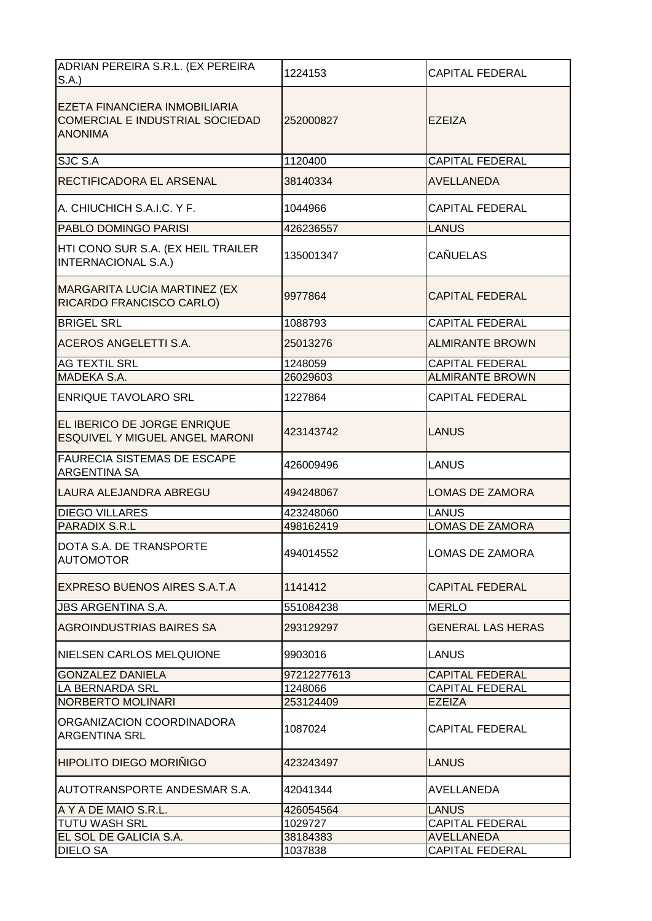| ADRIAN PEREIRA S.R.L. (EX PEREIRA                                                  | 1224153     | <b>CAPITAL FEDERAL</b>   |
|------------------------------------------------------------------------------------|-------------|--------------------------|
| S.A.                                                                               |             |                          |
| EZETA FINANCIERA INMOBILIARIA<br>COMERCIAL E INDUSTRIAL SOCIEDAD<br><b>ANONIMA</b> | 252000827   | <b>EZEIZA</b>            |
| SJC S.A                                                                            | 1120400     | <b>CAPITAL FEDERAL</b>   |
| RECTIFICADORA EL ARSENAL                                                           | 38140334    | <b>AVELLANEDA</b>        |
| A. CHIUCHICH S.A.I.C. Y F.                                                         | 1044966     | <b>CAPITAL FEDERAL</b>   |
| PABLO DOMINGO PARISI                                                               | 426236557   | <b>LANUS</b>             |
| HTI CONO SUR S.A. (EX HEIL TRAILER<br><b>INTERNACIONAL S.A.)</b>                   | 135001347   | <b>CAÑUELAS</b>          |
| MARGARITA LUCIA MARTINEZ (EX<br>RICARDO FRANCISCO CARLO)                           | 9977864     | <b>CAPITAL FEDERAL</b>   |
| <b>BRIGEL SRL</b>                                                                  | 1088793     | <b>CAPITAL FEDERAL</b>   |
| <b>ACEROS ANGELETTI S.A.</b>                                                       | 25013276    | <b>ALMIRANTE BROWN</b>   |
| <b>AG TEXTIL SRL</b>                                                               | 1248059     | <b>CAPITAL FEDERAL</b>   |
| MADEKA S.A.                                                                        | 26029603    | <b>ALMIRANTE BROWN</b>   |
| <b>ENRIQUE TAVOLARO SRL</b>                                                        | 1227864     | <b>CAPITAL FEDERAL</b>   |
| EL IBERICO DE JORGE ENRIQUE<br><b>ESQUIVEL Y MIGUEL ANGEL MARONI</b>               | 423143742   | <b>LANUS</b>             |
| <b>FAURECIA SISTEMAS DE ESCAPE</b><br><b>ARGENTINA SA</b>                          | 426009496   | <b>LANUS</b>             |
| LAURA ALEJANDRA ABREGU                                                             | 494248067   | <b>LOMAS DE ZAMORA</b>   |
| <b>DIEGO VILLARES</b>                                                              | 423248060   | <b>LANUS</b>             |
| <b>PARADIX S.R.L</b>                                                               | 498162419   | <b>LOMAS DE ZAMORA</b>   |
| DOTA S.A. DE TRANSPORTE<br><b>AUTOMOTOR</b>                                        | 494014552   | <b>LOMAS DE ZAMORA</b>   |
| EXPRESO BUENOS AIRES S.A.T.A                                                       | 1141412     | <b>CAPITAL FEDERAL</b>   |
| <b>JBS ARGENTINA S.A.</b>                                                          | 551084238   | <b>MERLO</b>             |
| AGROINDUSTRIAS BAIRES SA                                                           | 293129297   | <b>GENERAL LAS HERAS</b> |
| NIELSEN CARLOS MELQUIONE                                                           | 9903016     | <b>LANUS</b>             |
| <b>GONZALEZ DANIELA</b>                                                            | 97212277613 | <b>CAPITAL FEDERAL</b>   |
| <b>LA BERNARDA SRL</b>                                                             | 1248066     | <b>CAPITAL FEDERAL</b>   |
| NORBERTO MOLINARI                                                                  | 253124409   | <b>EZEIZA</b>            |
| ORGANIZACION COORDINADORA<br><b>ARGENTINA SRL</b>                                  | 1087024     | <b>CAPITAL FEDERAL</b>   |
| HIPOLITO DIEGO MORIÑIGO                                                            | 423243497   | <b>LANUS</b>             |
| <b>AUTOTRANSPORTE ANDESMAR S.A.</b>                                                | 42041344    | AVELLANEDA               |
| A Y A DE MAIO S.R.L.                                                               | 426054564   | <b>LANUS</b>             |
| <b>TUTU WASH SRL</b>                                                               | 1029727     | <b>CAPITAL FEDERAL</b>   |
| EL SOL DE GALICIA S.A.                                                             | 38184383    | <b>AVELLANEDA</b>        |
| <b>DIELO SA</b>                                                                    | 1037838     | <b>CAPITAL FEDERAL</b>   |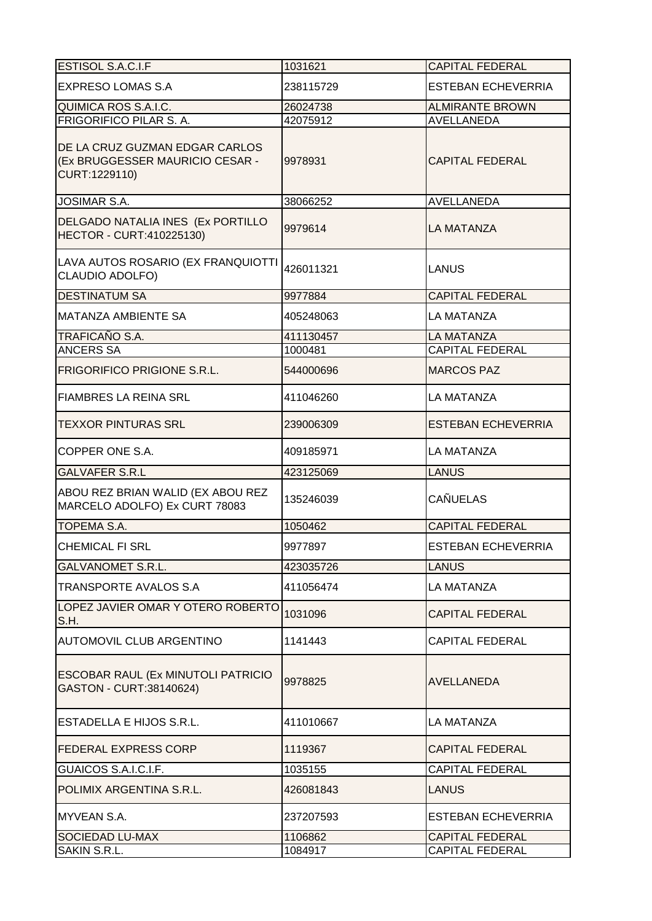| ESTISOL S.A.C.I.F                                                                  | 1031621   | <b>CAPITAL FEDERAL</b>    |
|------------------------------------------------------------------------------------|-----------|---------------------------|
| <b>EXPRESO LOMAS S.A</b>                                                           | 238115729 | <b>ESTEBAN ECHEVERRIA</b> |
| QUIMICA ROS S.A.I.C.                                                               | 26024738  | <b>ALMIRANTE BROWN</b>    |
| FRIGORIFICO PILAR S. A.                                                            | 42075912  | <b>AVELLANEDA</b>         |
| DE LA CRUZ GUZMAN EDGAR CARLOS<br>(Ex BRUGGESSER MAURICIO CESAR -<br>CURT:1229110) | 9978931   | <b>CAPITAL FEDERAL</b>    |
| <b>JOSIMAR S.A.</b>                                                                | 38066252  | <b>AVELLANEDA</b>         |
| DELGADO NATALIA INES (Ex PORTILLO<br>HECTOR - CURT:410225130)                      | 9979614   | LA MATANZA                |
| LAVA AUTOS ROSARIO (EX FRANQUIOTTI<br><b>CLAUDIO ADOLFO)</b>                       | 426011321 | <b>LANUS</b>              |
| <b>DESTINATUM SA</b>                                                               | 9977884   | <b>CAPITAL FEDERAL</b>    |
| <b>MATANZA AMBIENTE SA</b>                                                         | 405248063 | LA MATANZA                |
| TRAFICAÑO S.A.                                                                     | 411130457 | LA MATANZA                |
| <b>ANCERS SA</b>                                                                   | 1000481   | <b>CAPITAL FEDERAL</b>    |
| <b>FRIGORIFICO PRIGIONE S.R.L.</b>                                                 | 544000696 | <b>MARCOS PAZ</b>         |
| <b>FIAMBRES LA REINA SRL</b>                                                       | 411046260 | <b>LA MATANZA</b>         |
| <b>TEXXOR PINTURAS SRL</b>                                                         | 239006309 | <b>ESTEBAN ECHEVERRIA</b> |
| COPPER ONE S.A.                                                                    | 409185971 | <b>LA MATANZA</b>         |
| <b>GALVAFER S.R.L</b>                                                              | 423125069 | <b>LANUS</b>              |
| ABOU REZ BRIAN WALID (EX ABOU REZ<br>MARCELO ADOLFO) Ex CURT 78083                 | 135246039 | <b>CAÑUELAS</b>           |
| <b>TOPEMA S.A.</b>                                                                 | 1050462   | <b>CAPITAL FEDERAL</b>    |
| <b>CHEMICAL FI SRL</b>                                                             | 9977897   | <b>ESTEBAN ECHEVERRIA</b> |
| <b>GALVANOMET S.R.L.</b>                                                           | 423035726 | <b>LANUS</b>              |
| <b>TRANSPORTE AVALOS S.A</b>                                                       | 411056474 | LA MATANZA                |
| LOPEZ JAVIER OMAR Y OTERO ROBERTO<br>S.H.                                          | 1031096   | <b>CAPITAL FEDERAL</b>    |
| <b>AUTOMOVIL CLUB ARGENTINO</b>                                                    | 1141443   | <b>CAPITAL FEDERAL</b>    |
| ESCOBAR RAUL (Ex MINUTOLI PATRICIO<br>GASTON - CURT:38140624)                      | 9978825   | AVELLANEDA                |
| ESTADELLA E HIJOS S.R.L.                                                           | 411010667 | LA MATANZA                |
| <b>FEDERAL EXPRESS CORP</b>                                                        | 1119367   | <b>CAPITAL FEDERAL</b>    |
| GUAICOS S.A.I.C.I.F.                                                               | 1035155   | <b>CAPITAL FEDERAL</b>    |
| POLIMIX ARGENTINA S.R.L.                                                           | 426081843 | <b>LANUS</b>              |
| MYVEAN S.A.                                                                        | 237207593 | ESTEBAN ECHEVERRIA        |
| <b>SOCIEDAD LU-MAX</b>                                                             | 1106862   | <b>CAPITAL FEDERAL</b>    |
| SAKIN S.R.L.                                                                       | 1084917   | <b>CAPITAL FEDERAL</b>    |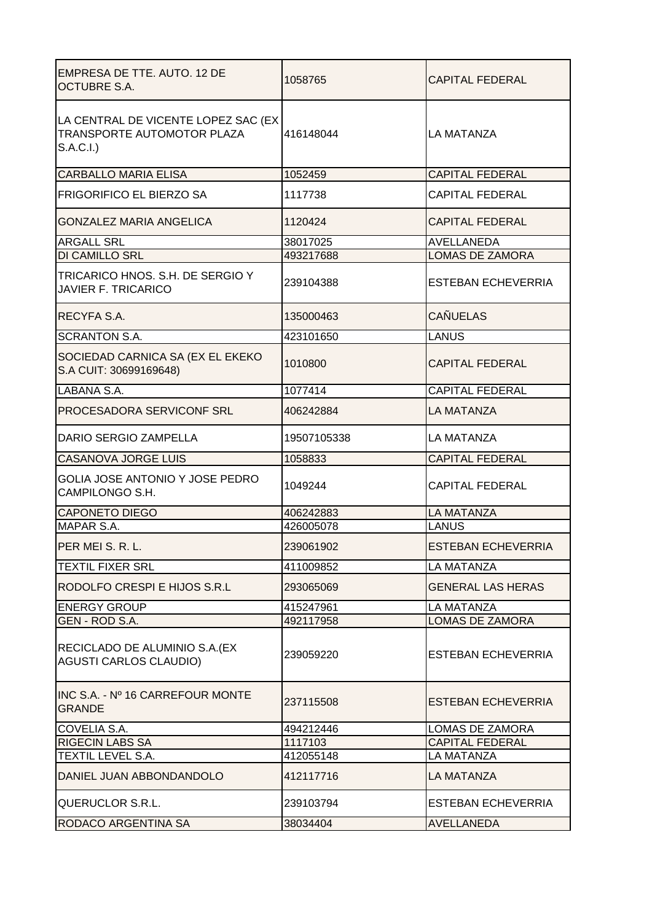| EMPRESA DE TTE. AUTO. 12 DE<br><b>OCTUBRE S.A.</b>                              | 1058765     | <b>CAPITAL FEDERAL</b>    |
|---------------------------------------------------------------------------------|-------------|---------------------------|
| LA CENTRAL DE VICENTE LOPEZ SAC (EX)<br>TRANSPORTE AUTOMOTOR PLAZA<br>S.A.C.I.) | 416148044   | <b>LA MATANZA</b>         |
| <b>CARBALLO MARIA ELISA</b>                                                     | 1052459     | <b>CAPITAL FEDERAL</b>    |
| <b>FRIGORIFICO EL BIERZO SA</b>                                                 | 1117738     | <b>CAPITAL FEDERAL</b>    |
| <b>GONZALEZ MARIA ANGELICA</b>                                                  | 1120424     | <b>CAPITAL FEDERAL</b>    |
| <b>ARGALL SRL</b>                                                               | 38017025    | <b>AVELLANEDA</b>         |
| <b>DI CAMILLO SRL</b>                                                           | 493217688   | <b>LOMAS DE ZAMORA</b>    |
| TRICARICO HNOS. S.H. DE SERGIO Y<br><b>JAVIER F. TRICARICO</b>                  | 239104388   | <b>ESTEBAN ECHEVERRIA</b> |
| RECYFA S.A.                                                                     | 135000463   | <b>CAÑUELAS</b>           |
| <b>SCRANTON S.A.</b>                                                            | 423101650   | <b>LANUS</b>              |
| SOCIEDAD CARNICA SA (EX EL EKEKO<br>S.A CUIT: 30699169648)                      | 1010800     | <b>CAPITAL FEDERAL</b>    |
| LABANA S.A.                                                                     | 1077414     | <b>CAPITAL FEDERAL</b>    |
| PROCESADORA SERVICONF SRL                                                       | 406242884   | LA MATANZA                |
| DARIO SERGIO ZAMPELLA                                                           | 19507105338 | LA MATANZA                |
| <b>CASANOVA JORGE LUIS</b>                                                      | 1058833     | <b>CAPITAL FEDERAL</b>    |
| GOLIA JOSE ANTONIO Y JOSE PEDRO<br>CAMPILONGO S.H.                              | 1049244     | <b>CAPITAL FEDERAL</b>    |
| <b>CAPONETO DIEGO</b>                                                           | 406242883   | <b>LA MATANZA</b>         |
| MAPAR S.A.                                                                      | 426005078   | <b>LANUS</b>              |
| PER MEI S. R. L.                                                                | 239061902   | <b>ESTEBAN ECHEVERRIA</b> |
| <b>TEXTIL FIXER SRL</b>                                                         | 411009852   | <b>LA MATANZA</b>         |
| RODOLFO CRESPI E HIJOS S.R.L                                                    | 293065069   | <b>GENERAL LAS HERAS</b>  |
| <b>ENERGY GROUP</b>                                                             | 415247961   | <b>LA MATANZA</b>         |
| GEN - ROD S.A.                                                                  | 492117958   | <b>LOMAS DE ZAMORA</b>    |
| RECICLADO DE ALUMINIO S.A. (EX<br><b>AGUSTI CARLOS CLAUDIO)</b>                 | 239059220   | <b>ESTEBAN ECHEVERRIA</b> |
| INC S.A. - Nº 16 CARREFOUR MONTE<br><b>GRANDE</b>                               | 237115508   | ESTEBAN ECHEVERRIA        |
| COVELIA S.A.                                                                    | 494212446   | LOMAS DE ZAMORA           |
| <b>RIGECIN LABS SA</b>                                                          | 1117103     | <b>CAPITAL FEDERAL</b>    |
| TEXTIL LEVEL S.A.                                                               | 412055148   | <b>LA MATANZA</b>         |
| DANIEL JUAN ABBONDANDOLO                                                        | 412117716   | LA MATANZA                |
| <b>QUERUCLOR S.R.L.</b>                                                         | 239103794   | <b>ESTEBAN ECHEVERRIA</b> |
| RODACO ARGENTINA SA<br>38034404                                                 |             | <b>AVELLANEDA</b>         |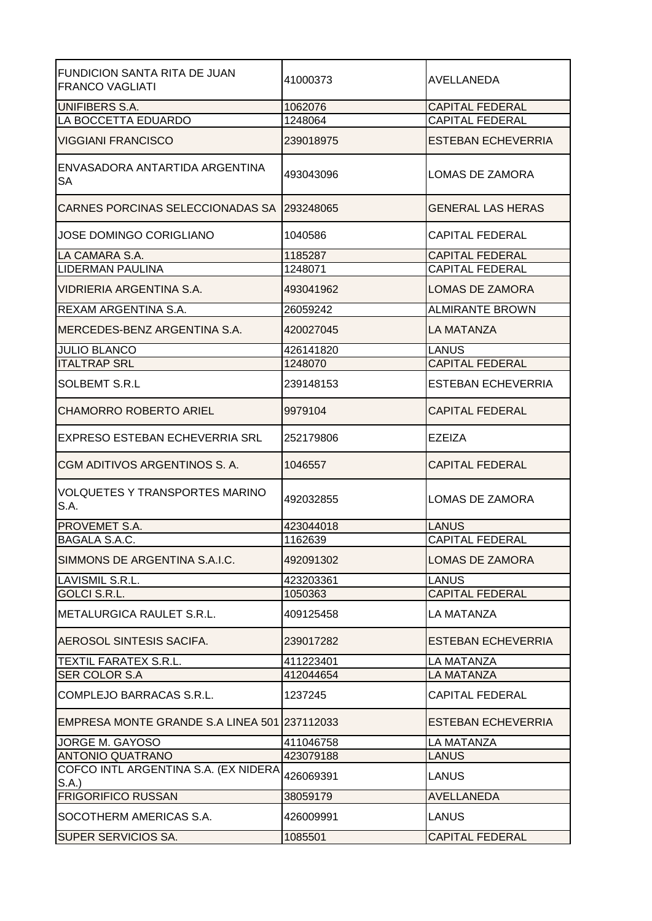| <b>FUNDICION SANTA RITA DE JUAN</b><br><b>FRANCO VAGLIATI</b> | 41000373  | AVELLANEDA                |
|---------------------------------------------------------------|-----------|---------------------------|
| <b>UNIFIBERS S.A.</b>                                         | 1062076   | <b>CAPITAL FEDERAL</b>    |
| LA BOCCETTA EDUARDO                                           | 1248064   | <b>CAPITAL FEDERAL</b>    |
| <b>VIGGIANI FRANCISCO</b>                                     | 239018975 | <b>ESTEBAN ECHEVERRIA</b> |
| ENVASADORA ANTARTIDA ARGENTINA<br><b>SA</b>                   | 493043096 | LOMAS DE ZAMORA           |
| CARNES PORCINAS SELECCIONADAS SA 293248065                    |           | <b>GENERAL LAS HERAS</b>  |
| <b>JOSE DOMINGO CORIGLIANO</b>                                | 1040586   | <b>CAPITAL FEDERAL</b>    |
| LA CAMARA S.A.                                                | 1185287   | <b>CAPITAL FEDERAL</b>    |
| <b>LIDERMAN PAULINA</b>                                       | 1248071   | <b>CAPITAL FEDERAL</b>    |
| VIDRIERIA ARGENTINA S.A.                                      | 493041962 | <b>LOMAS DE ZAMORA</b>    |
| REXAM ARGENTINA S.A.                                          | 26059242  | <b>ALMIRANTE BROWN</b>    |
| MERCEDES-BENZ ARGENTINA S.A.                                  | 420027045 | LA MATANZA                |
| <b>JULIO BLANCO</b>                                           | 426141820 | <b>LANUS</b>              |
| <b>ITALTRAP SRL</b>                                           | 1248070   | <b>CAPITAL FEDERAL</b>    |
| <b>SOLBEMT S.R.L</b>                                          | 239148153 | <b>ESTEBAN ECHEVERRIA</b> |
| <b>CHAMORRO ROBERTO ARIEL</b>                                 | 9979104   | <b>CAPITAL FEDERAL</b>    |
| EXPRESO ESTEBAN ECHEVERRIA SRL                                | 252179806 | EZEIZA                    |
| CGM ADITIVOS ARGENTINOS S. A.                                 | 1046557   | <b>CAPITAL FEDERAL</b>    |
| <b>VOLQUETES Y TRANSPORTES MARINO</b><br>S.A.                 | 492032855 | <b>LOMAS DE ZAMORA</b>    |
| <b>PROVEMET S.A.</b>                                          | 423044018 | <b>LANUS</b>              |
| BAGALA S.A.C.                                                 | 1162639   | <b>CAPITAL FEDERAL</b>    |
| SIMMONS DE ARGENTINA S.A.I.C.                                 | 492091302 | <b>LOMAS DE ZAMORA</b>    |
| LAVISMIL S.R.L.                                               | 423203361 | <b>LANUS</b>              |
| <b>GOLCI S.R.L.</b>                                           | 1050363   | <b>CAPITAL FEDERAL</b>    |
| METALURGICA RAULET S.R.L.                                     | 409125458 | <b>LA MATANZA</b>         |
| <b>AEROSOL SINTESIS SACIFA.</b>                               | 239017282 | <b>ESTEBAN ECHEVERRIA</b> |
| TEXTIL FARATEX S.R.L.                                         | 411223401 | <b>LA MATANZA</b>         |
| SER COLOR S.A                                                 | 412044654 | LA MATANZA                |
| COMPLEJO BARRACAS S.R.L.                                      | 1237245   | <b>CAPITAL FEDERAL</b>    |
| EMPRESA MONTE GRANDE S.A LINEA 501 237112033                  |           | <b>ESTEBAN ECHEVERRIA</b> |
| JORGE M. GAYOSO                                               | 411046758 | <b>LA MATANZA</b>         |
| ANTONIO QUATRANO                                              | 423079188 | <b>LANUS</b>              |
| COFCO INTL ARGENTINA S.A. (EX NIDERA<br>S.A.                  | 426069391 | <b>LANUS</b>              |
| <b>FRIGORIFICO RUSSAN</b>                                     | 38059179  | AVELLANEDA                |
| SOCOTHERM AMERICAS S.A.                                       | 426009991 | LANUS                     |
| SUPER SERVICIOS SA.                                           | 1085501   | <b>CAPITAL FEDERAL</b>    |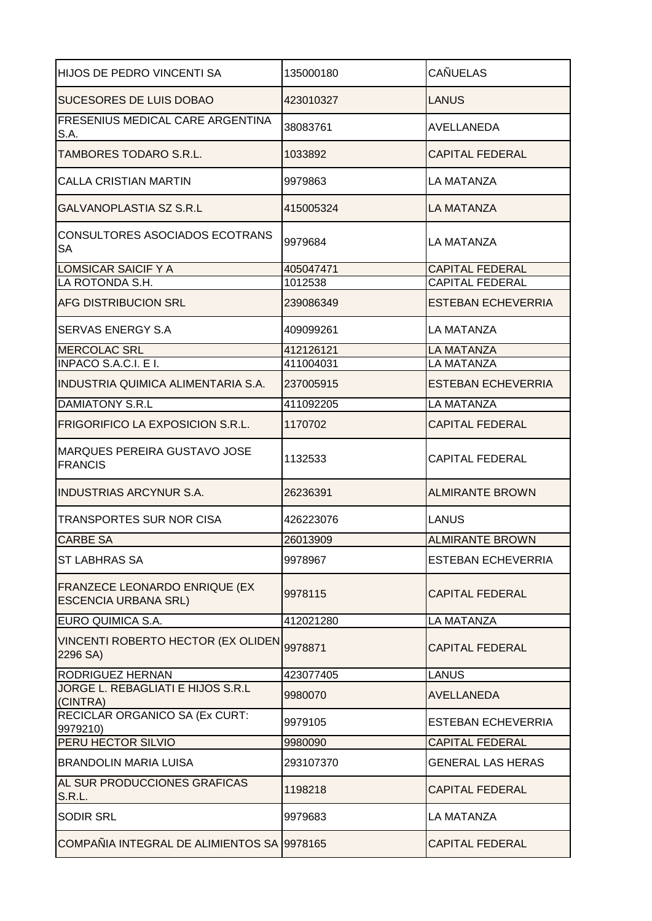| HIJOS DE PEDRO VINCENTI SA                                   | 135000180 | <b>CAÑUELAS</b>           |
|--------------------------------------------------------------|-----------|---------------------------|
| SUCESORES DE LUIS DOBAO                                      | 423010327 | LANUS                     |
| FRESENIUS MEDICAL CARE ARGENTINA<br>S.A.                     | 38083761  | AVELLANEDA                |
| TAMBORES TODARO S.R.L.                                       | 1033892   | <b>CAPITAL FEDERAL</b>    |
| <b>CALLA CRISTIAN MARTIN</b>                                 | 9979863   | <b>LA MATANZA</b>         |
| <b>GALVANOPLASTIA SZ S.R.L</b>                               | 415005324 | <b>LA MATANZA</b>         |
| CONSULTORES ASOCIADOS ECOTRANS<br><b>SA</b>                  | 9979684   | <b>LA MATANZA</b>         |
| <b>LOMSICAR SAICIF Y A</b>                                   | 405047471 | <b>CAPITAL FEDERAL</b>    |
| LA ROTONDA S.H.                                              | 1012538   | <b>CAPITAL FEDERAL</b>    |
| <b>AFG DISTRIBUCION SRL</b>                                  | 239086349 | <b>ESTEBAN ECHEVERRIA</b> |
| SERVAS ENERGY S.A                                            | 409099261 | <b>LA MATANZA</b>         |
| <b>MERCOLAC SRL</b>                                          | 412126121 | <b>LA MATANZA</b>         |
| <b>INPACO S.A.C.I. E I.</b>                                  | 411004031 | <b>LA MATANZA</b>         |
| <b>INDUSTRIA QUIMICA ALIMENTARIA S.A.</b>                    | 237005915 | <b>ESTEBAN ECHEVERRIA</b> |
| <b>DAMIATONY S.R.L</b>                                       | 411092205 | <b>LA MATANZA</b>         |
| <b>FRIGORIFICO LA EXPOSICION S.R.L.</b>                      | 1170702   | <b>CAPITAL FEDERAL</b>    |
| IMARQUES PEREIRA GUSTAVO JOSE<br><b>FRANCIS</b>              | 1132533   | <b>CAPITAL FEDERAL</b>    |
| <b>INDUSTRIAS ARCYNUR S.A.</b>                               | 26236391  | <b>ALMIRANTE BROWN</b>    |
| <b>TRANSPORTES SUR NOR CISA</b>                              | 426223076 | <b>LANUS</b>              |
| <b>CARBE SA</b>                                              | 26013909  | <b>ALMIRANTE BROWN</b>    |
| <b>ST LABHRAS SA</b>                                         | 9978967   | <b>ESTEBAN ECHEVERRIA</b> |
| FRANZECE LEONARDO ENRIQUE (EX<br><b>ESCENCIA URBANA SRL)</b> | 9978115   | <b>CAPITAL FEDERAL</b>    |
| EURO QUIMICA S.A.                                            | 412021280 | <b>LA MATANZA</b>         |
| VINCENTI ROBERTO HECTOR (EX OLIDEN<br>2296 SA)               | 9978871   | <b>CAPITAL FEDERAL</b>    |
| RODRIGUEZ HERNAN                                             | 423077405 | <b>LANUS</b>              |
| JORGE L. REBAGLIATI E HIJOS S.R.L<br>(CINTRA)                | 9980070   | AVELLANEDA                |
| RECICLAR ORGANICO SA (Ex CURT:<br>9979210)                   | 9979105   | <b>ESTEBAN ECHEVERRIA</b> |
| PERU HECTOR SILVIO                                           | 9980090   | <b>CAPITAL FEDERAL</b>    |
| <b>BRANDOLIN MARIA LUISA</b>                                 | 293107370 | <b>GENERAL LAS HERAS</b>  |
| AL SUR PRODUCCIONES GRAFICAS<br><b>S.R.L.</b>                | 1198218   | <b>CAPITAL FEDERAL</b>    |
| <b>SODIR SRL</b>                                             | 9979683   | <b>LA MATANZA</b>         |
| COMPAÑIA INTEGRAL DE ALIMIENTOS SA 9978165                   |           | <b>CAPITAL FEDERAL</b>    |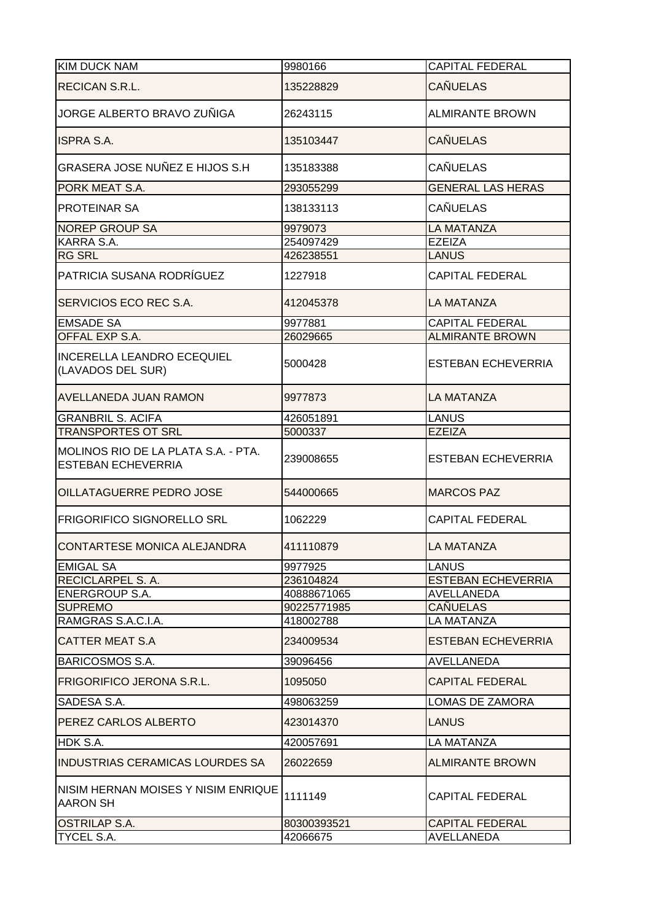| <b>KIM DUCK NAM</b>                                              | 9980166     | <b>CAPITAL FEDERAL</b>    |
|------------------------------------------------------------------|-------------|---------------------------|
| RECICAN S.R.L.                                                   | 135228829   | <b>CAÑUELAS</b>           |
| JORGE ALBERTO BRAVO ZUÑIGA                                       | 26243115    | <b>ALMIRANTE BROWN</b>    |
| <b>ISPRA S.A.</b>                                                | 135103447   | <b>CAÑUELAS</b>           |
| <b>GRASERA JOSE NUÑEZ E HIJOS S.H</b>                            | 135183388   | <b>CAÑUELAS</b>           |
| PORK MEAT S.A.                                                   | 293055299   | <b>GENERAL LAS HERAS</b>  |
| PROTEINAR SA                                                     | 138133113   | <b>CAÑUELAS</b>           |
| <b>NOREP GROUP SA</b>                                            | 9979073     | <b>LA MATANZA</b>         |
| KARRA S.A.                                                       | 254097429   | <b>EZEIZA</b>             |
| <b>RG SRL</b>                                                    | 426238551   | <b>LANUS</b>              |
| PATRICIA SUSANA RODRÍGUEZ                                        | 1227918     | <b>CAPITAL FEDERAL</b>    |
| SERVICIOS ECO REC S.A.                                           | 412045378   | LA MATANZA                |
| <b>EMSADE SA</b>                                                 | 9977881     | <b>CAPITAL FEDERAL</b>    |
| OFFAL EXP S.A.                                                   | 26029665    | <b>ALMIRANTE BROWN</b>    |
| <b>INCERELLA LEANDRO ECEQUIEL</b><br>(LAVADOS DEL SUR)           | 5000428     | <b>ESTEBAN ECHEVERRIA</b> |
| <b>AVELLANEDA JUAN RAMON</b>                                     | 9977873     | <b>LA MATANZA</b>         |
| <b>GRANBRIL S. ACIFA</b>                                         | 426051891   | LANUS                     |
| <b>TRANSPORTES OT SRL</b>                                        | 5000337     | <b>EZEIZA</b>             |
| MOLINOS RIO DE LA PLATA S.A. - PTA.<br><b>ESTEBAN ECHEVERRIA</b> | 239008655   | <b>ESTEBAN ECHEVERRIA</b> |
| OILLATAGUERRE PEDRO JOSE                                         | 544000665   | <b>MARCOS PAZ</b>         |
| <b>FRIGORIFICO SIGNORELLO SRL</b>                                | 1062229     | <b>CAPITAL FEDERAL</b>    |
| ICONTARTESE MONICA ALEJANDRA                                     | 411110879   | LA MATANZA                |
| <b>EMIGAL SA</b>                                                 | 9977925     | <b>LANUS</b>              |
| RECICLARPEL S. A.                                                | 236104824   | <b>ESTEBAN ECHEVERRIA</b> |
| <b>ENERGROUP S.A.</b>                                            | 40888671065 | <b>AVELLANEDA</b>         |
| <b>SUPREMO</b>                                                   | 90225771985 | <b>CAÑUELAS</b>           |
| RAMGRAS S.A.C.I.A.                                               | 418002788   | <b>LA MATANZA</b>         |
| <b>CATTER MEAT S.A</b>                                           | 234009534   | <b>ESTEBAN ECHEVERRIA</b> |
| <b>BARICOSMOS S.A.</b>                                           | 39096456    | <b>AVELLANEDA</b>         |
| FRIGORIFICO JERONA S.R.L.                                        | 1095050     | <b>CAPITAL FEDERAL</b>    |
| SADESA S.A.                                                      | 498063259   | LOMAS DE ZAMORA           |
| PEREZ CARLOS ALBERTO                                             | 423014370   | <b>LANUS</b>              |
| HDK S.A.                                                         | 420057691   | LA MATANZA                |
| INDUSTRIAS CERAMICAS LOURDES SA                                  | 26022659    | <b>ALMIRANTE BROWN</b>    |
| NISIM HERNAN MOISES Y NISIM ENRIQUE<br><b>AARON SH</b>           | 1111149     | <b>CAPITAL FEDERAL</b>    |
| <b>OSTRILAP S.A.</b>                                             | 80300393521 | <b>CAPITAL FEDERAL</b>    |
| TYCEL S.A.                                                       | 42066675    | AVELLANEDA                |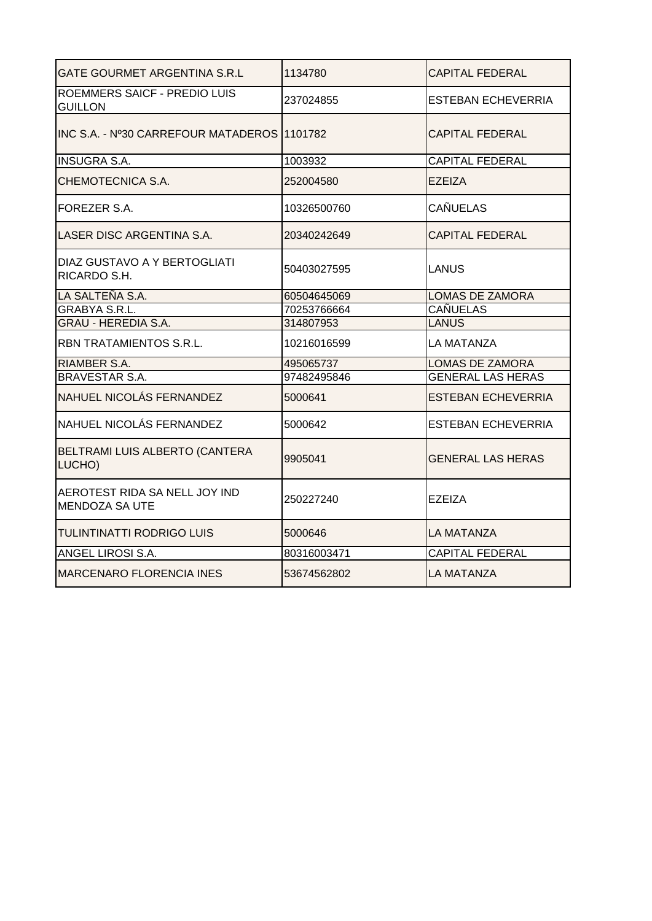| GATE GOURMET ARGENTINA S.R.L                          | 1134780     | CAPITAL FEDERAL           |
|-------------------------------------------------------|-------------|---------------------------|
| <b>ROEMMERS SAICF - PREDIO LUIS</b><br><b>GUILLON</b> | 237024855   | <b>ESTEBAN ECHEVERRIA</b> |
| INC S.A. - Nº30 CARREFOUR MATADEROS                   | 1101782     | <b>CAPITAL FEDERAL</b>    |
| <b>INSUGRA S.A.</b>                                   | 1003932     | <b>CAPITAL FEDERAL</b>    |
| CHEMOTECNICA S.A.                                     | 252004580   | EZEIZA                    |
| FOREZER S.A.                                          | 10326500760 | <b>CAÑUELAS</b>           |
| LASER DISC ARGENTINA S.A.                             | 20340242649 | <b>CAPITAL FEDERAL</b>    |
| DIAZ GUSTAVO A Y BERTOGLIATI<br>RICARDO S.H.          | 50403027595 | <b>LANUS</b>              |
| LA SALTEÑA S.A.                                       | 60504645069 | <b>LOMAS DE ZAMORA</b>    |
| <b>GRABYA S.R.L.</b>                                  | 70253766664 | <b>CAÑUELAS</b>           |
| <b>GRAU - HEREDIA S.A.</b>                            | 314807953   | <b>LANUS</b>              |
| RBN TRATAMIENTOS S.R.L.                               | 10216016599 | LA MATANZA                |
| RIAMBER S.A.                                          | 495065737   | <b>LOMAS DE ZAMORA</b>    |
| <b>BRAVESTAR S.A.</b>                                 | 97482495846 | <b>GENERAL LAS HERAS</b>  |
| NAHUEL NICOLÁS FERNANDEZ                              | 5000641     | <b>ESTEBAN ECHEVERRIA</b> |
| NAHUEL NICOLÁS FERNANDEZ                              | 5000642     | <b>ESTEBAN ECHEVERRIA</b> |
| BELTRAMI LUIS ALBERTO (CANTERA<br>LUCHO)              | 9905041     | <b>GENERAL LAS HERAS</b>  |
| AEROTEST RIDA SA NELL JOY IND<br>MENDOZA SA UTE       | 250227240   | <b>EZEIZA</b>             |
| <b>TULINTINATTI RODRIGO LUIS</b>                      | 5000646     | <b>LA MATANZA</b>         |
| ANGEL LIROSI S.A.                                     | 80316003471 | <b>CAPITAL FEDERAL</b>    |
| <b>MARCENARO FLORENCIA INES</b>                       | 53674562802 | <b>LA MATANZA</b>         |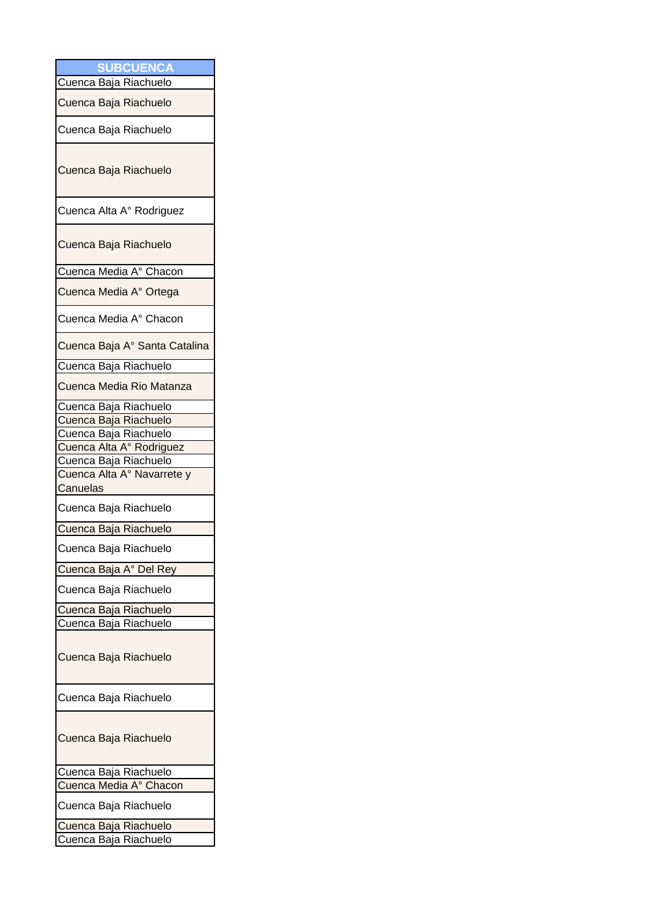|          | <b>SUBCUENCA</b>              |
|----------|-------------------------------|
|          | Cuenca Baja Riachuelo         |
|          | Cuenca Baja Riachuelo         |
|          | Cuenca Baja Riachuelo         |
|          | Cuenca Baja Riachuelo         |
|          | Cuenca Alta A° Rodriguez      |
|          | Cuenca Baja Riachuelo         |
|          | Cuenca Media A° Chacon        |
|          | Cuenca Media A° Ortega        |
|          | Cuenca Media A° Chacon        |
|          | Cuenca Baja A° Santa Catalina |
|          | Cuenca Baja Riachuelo         |
|          | Cuenca Media Rio Matanza      |
|          | Cuenca Baja Riachuelo         |
|          | Cuenca Baja Riachuelo         |
|          | Cuenca Baja Riachuelo         |
|          | Cuenca Alta A° Rodriguez      |
|          | Cuenca Baja Riachuelo         |
| Canuelas | Cuenca Alta A° Navarrete y    |
|          | Cuenca Baja Riachuelo         |
|          | Cuenca Baja Riachuelo         |
|          | Cuenca Baja Riachuelo         |
|          | Cuenca Baja A° Del Rey        |
|          | Cuenca Baja Riachuelo         |
|          | Cuenca Baja Riachuelo         |
|          | Cuenca Baja Riachuelo         |
|          | Cuenca Baja Riachuelo         |
|          | Cuenca Baja Riachuelo         |
|          | Cuenca Baja Riachuelo         |
|          | Cuenca Baja Riachuelo         |
|          | Cuenca Media A° Chacon        |
|          | Cuenca Baja Riachuelo         |
|          | Cuenca Baja Riachuelo         |
|          | Cuenca Baja Riachuelo         |
|          |                               |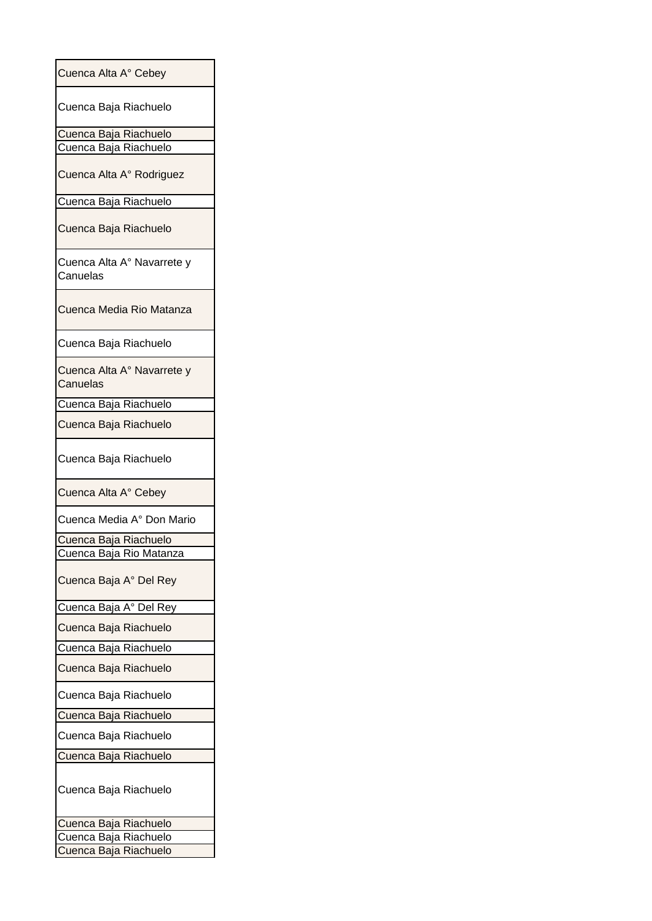| Cuenca Alta A° Cebey                   |
|----------------------------------------|
| Cuenca Baja Riachuelo                  |
| Cuenca Baja Riachuelo                  |
| Cuenca Baja Riachuelo                  |
| Cuenca Alta A° Rodriguez               |
| Cuenca Baja Riachuelo                  |
| Cuenca Baja Riachuelo                  |
| Cuenca Alta A° Navarrete y<br>Canuelas |
| Cuenca Media Rio Matanza               |
| Cuenca Baja Riachuelo                  |
| Cuenca Alta A° Navarrete y<br>Canuelas |
| Cuenca Baja Riachuelo                  |
| Cuenca Baja Riachuelo                  |
| Cuenca Baja Riachuelo                  |
| Cuenca Alta A° Cebey                   |
| Cuenca Media A° Don Mario              |
| Cuenca Baja Riachuelo                  |
| Cuenca Baja Rio Matanza                |
| Cuenca Baja A° Del Rey                 |
| Cuenca Baja A° Del Rey                 |
| Cuenca Baja Riachuelo                  |
| Cuenca Baja Riachuelo                  |
| Cuenca Baja Riachuelo                  |
| Cuenca Baja Riachuelo                  |
| Cuenca Baja Riachuelo                  |
| Cuenca Baja Riachuelo                  |
| Cuenca Baja Riachuelo                  |
| Cuenca Baja Riachuelo                  |
| Cuenca Baja Riachuelo                  |
| Cuenca Baja Riachuelo                  |
| Cuenca Baja Riachuelo                  |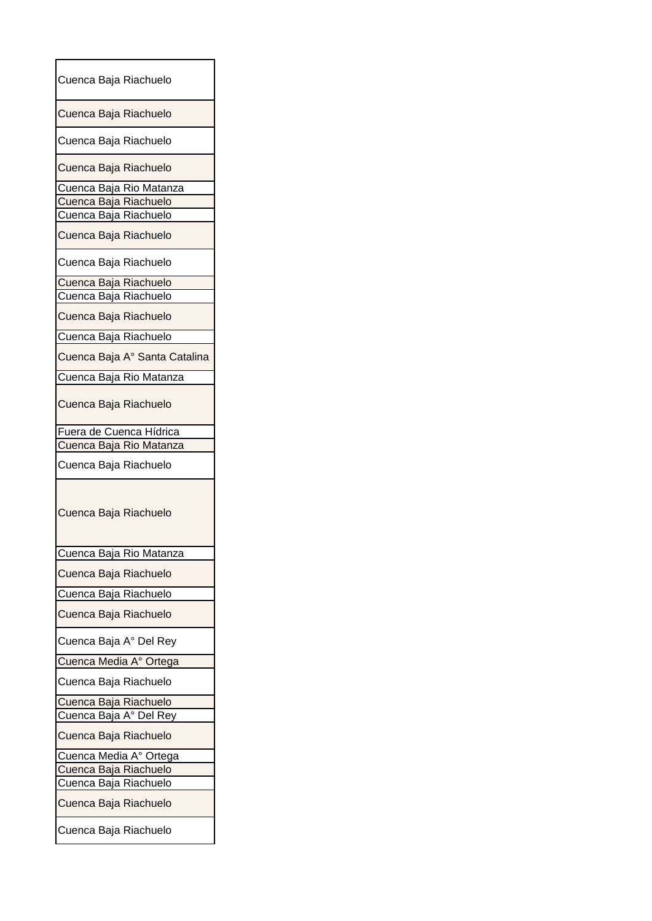|  | Cuenca Baja Riachuelo         |
|--|-------------------------------|
|  | Cuenca Baja Riachuelo         |
|  | Cuenca Baja Riachuelo         |
|  | Cuenca Baja Riachuelo         |
|  | Cuenca Baja Rio Matanza       |
|  | Cuenca Baja Riachuelo         |
|  | Cuenca Baja Riachuelo         |
|  | Cuenca Baja Riachuelo         |
|  | Cuenca Baja Riachuelo         |
|  | Cuenca Baja Riachuelo         |
|  | Cuenca Baja Riachuelo         |
|  | Cuenca Baja Riachuelo         |
|  | Cuenca Baja Riachuelo         |
|  | Cuenca Baja A° Santa Catalina |
|  | Cuenca Baja Rio Matanza       |
|  | Cuenca Baja Riachuelo         |
|  | Fuera de Cuenca Hídrica       |
|  | Cuenca Baja Rio Matanza       |
|  |                               |
|  | Cuenca Baja Riachuelo         |
|  | Cuenca Baja Riachuelo         |
|  |                               |
|  | Cuenca Baja Rio Matanza       |
|  | Cuenca Baja Riachuelo         |
|  | Cuenca Baja Riachuelo         |
|  | Cuenca Baja Riachuelo         |
|  | Cuenca Baja A° Del Rey        |
|  | Cuenca Media A° Ortega        |
|  | Cuenca Baja Riachuelo         |
|  | Cuenca Baja Riachuelo         |
|  | Cuenca Baja A° Del Rey        |
|  | Cuenca Baja Riachuelo         |
|  | Cuenca Media A° Ortega        |
|  | Cuenca Baja Riachuelo         |
|  | Cuenca Baja Riachuelo         |
|  | Cuenca Baja Riachuelo         |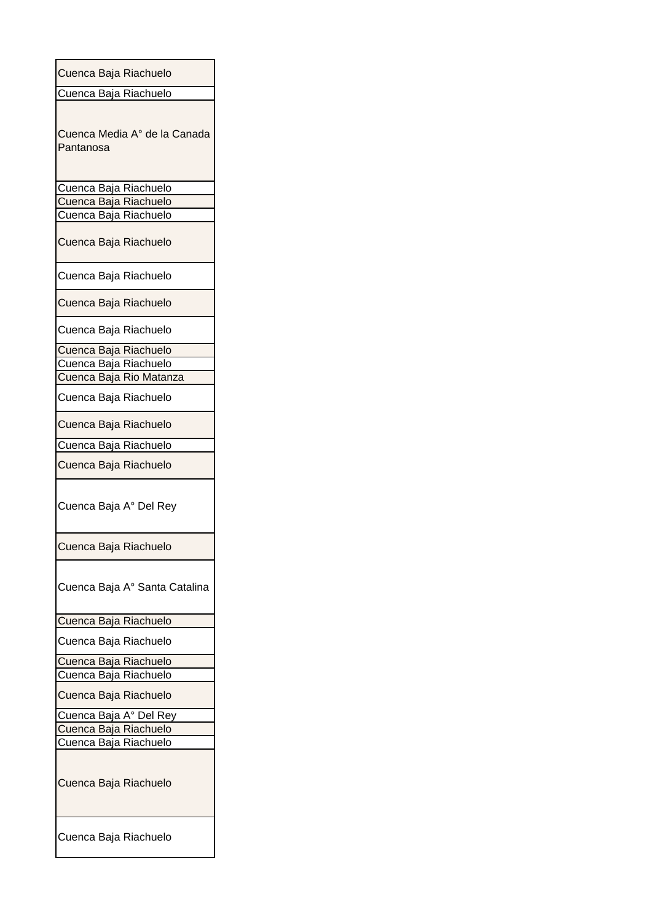| Cuenca Baja Riachuelo                     |  |  |  |
|-------------------------------------------|--|--|--|
| Cuenca Baja Riachuelo                     |  |  |  |
| Cuenca Media A° de la Canada<br>Pantanosa |  |  |  |
| Cuenca Baja Riachuelo                     |  |  |  |
| Cuenca Baja Riachuelo                     |  |  |  |
| Cuenca Baja Riachuelo                     |  |  |  |
| Cuenca Baja Riachuelo                     |  |  |  |
| Cuenca Baja Riachuelo                     |  |  |  |
| Cuenca Baja Riachuelo                     |  |  |  |
| Cuenca Baja Riachuelo                     |  |  |  |
| Cuenca Baja Riachuelo                     |  |  |  |
| <u>Cuenca Baja Riachuelo</u>              |  |  |  |
| Cuenca Baja Rio Matanza                   |  |  |  |
| Cuenca Baja Riachuelo                     |  |  |  |
| Cuenca Baja Riachuelo                     |  |  |  |
| Cuenca Baja Riachuelo                     |  |  |  |
| Cuenca Baja Riachuelo                     |  |  |  |
| Cuenca Baja A° Del Rey                    |  |  |  |
| Cuenca Baja Riachuelo                     |  |  |  |
| Cuenca Baja A° Santa Catalina             |  |  |  |
| Cuenca Baja Riachuelo                     |  |  |  |
| Cuenca Baja Riachuelo                     |  |  |  |
| Cuenca Baja Riachuelo                     |  |  |  |
| Cuenca Baja Riachuelo                     |  |  |  |
| Cuenca Baja Riachuelo                     |  |  |  |
| Cuenca Baja A° Del Rey                    |  |  |  |
| Cuenca Baja Riachuelo                     |  |  |  |
| Cuenca Baja Riachuelo                     |  |  |  |
| Cuenca Baja Riachuelo                     |  |  |  |
| Cuenca Baja Riachuelo                     |  |  |  |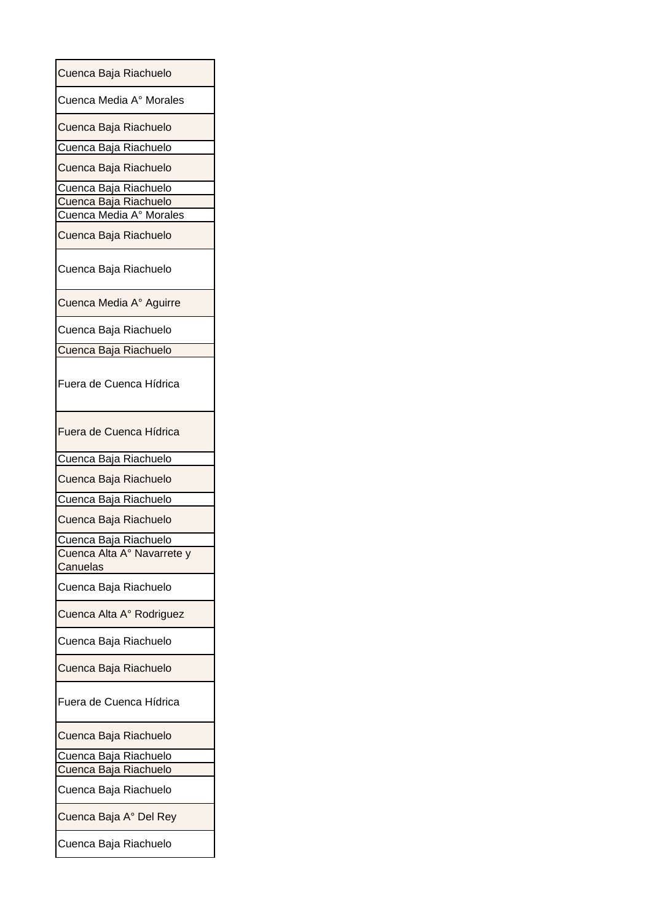| Cuenca Baja Riachuelo                  |
|----------------------------------------|
| Cuenca Media A° Morales                |
| Cuenca Baja Riachuelo                  |
| Cuenca Baja Riachuelo                  |
| Cuenca Baja Riachuelo                  |
| Cuenca Baja Riachuelo                  |
| Cuenca Baja Riachuelo                  |
| Cuenca Media A° Morales                |
| Cuenca Baja Riachuelo                  |
| Cuenca Baja Riachuelo                  |
| Cuenca Media A° Aguirre                |
| Cuenca Baja Riachuelo                  |
| Cuenca Baja Riachuelo                  |
| Fuera de Cuenca Hídrica                |
| Fuera de Cuenca Hídrica                |
| Cuenca Baja Riachuelo                  |
| Cuenca Baja Riachuelo                  |
| Cuenca Baja Riachuelo                  |
| Cuenca Baja Riachuelo                  |
| Cuenca Baja Riachuelo                  |
| Cuenca Alta A° Navarrete y<br>Canuelas |
| Cuenca Baja Riachuelo                  |
| Cuenca Alta A° Rodriguez               |
| Cuenca Baja Riachuelo                  |
| Cuenca Baja Riachuelo                  |
| Fuera de Cuenca Hídrica                |
| Cuenca Baja Riachuelo                  |
| Cuenca Baja Riachuelo                  |
| Cuenca Baja Riachuelo                  |
| Cuenca Baja Riachuelo                  |
| Cuenca Baja A° Del Rey                 |
| Cuenca Baja Riachuelo                  |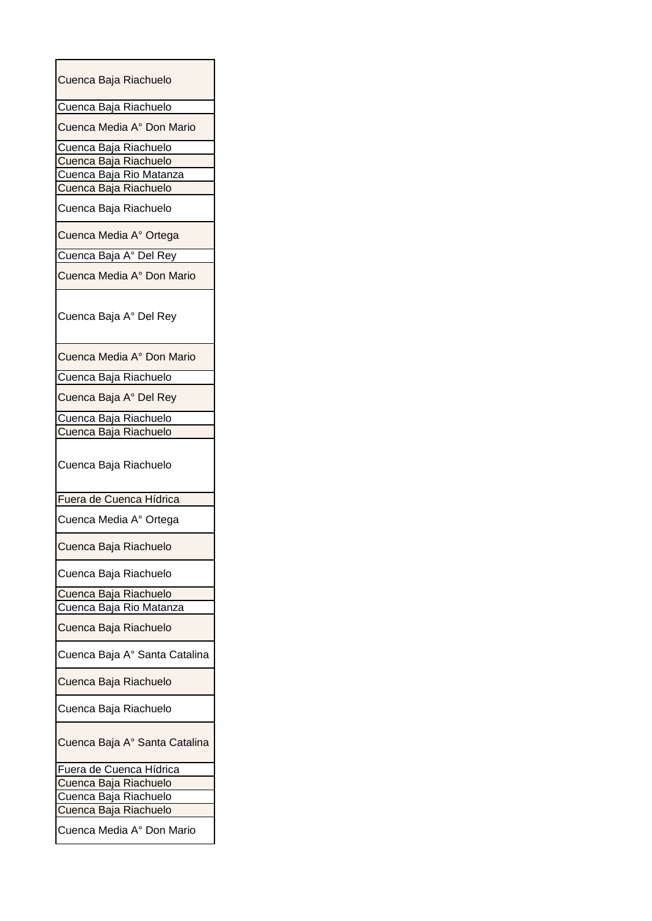| Cuenca Baja Riachuelo         |
|-------------------------------|
| Cuenca Baja Riachuelo         |
| Cuenca Media A° Don Mario     |
| Cuenca Baja Riachuelo         |
| Cuenca Baja Riachuelo         |
| Cuenca Baja Rio Matanza       |
| Cuenca Baja Riachuelo         |
| Cuenca Baja Riachuelo         |
| Cuenca Media A° Ortega        |
| Cuenca Baja A° Del Rey        |
| Cuenca Media A° Don Mario     |
| Cuenca Baja A° Del Rey        |
| Cuenca Media A° Don Mario     |
| Cuenca Baja Riachuelo         |
| Cuenca Baja A° Del Rey        |
| Cuenca Baja Riachuelo         |
| Cuenca Baja Riachuelo         |
| Cuenca Baja Riachuelo         |
| Fuera de Cuenca Hídrica       |
| Cuenca Media A° Ortega        |
| Cuenca Baja Riachuelo         |
| Cuenca Baja Riachuelo         |
| Cuenca Baja Riachuelo         |
| Cuenca Baja Rio Matanza       |
| Cuenca Baja Riachuelo         |
| Cuenca Baja A° Santa Catalina |
| Cuenca Baja Riachuelo         |
| Cuenca Baja Riachuelo         |
| Cuenca Baja A° Santa Catalina |
| Fuera de Cuenca Hídrica       |
| Cuenca Baja Riachuelo         |
| Cuenca Baja Riachuelo         |
| Cuenca Baja Riachuelo         |
| Cuenca Media A° Don Mario     |
|                               |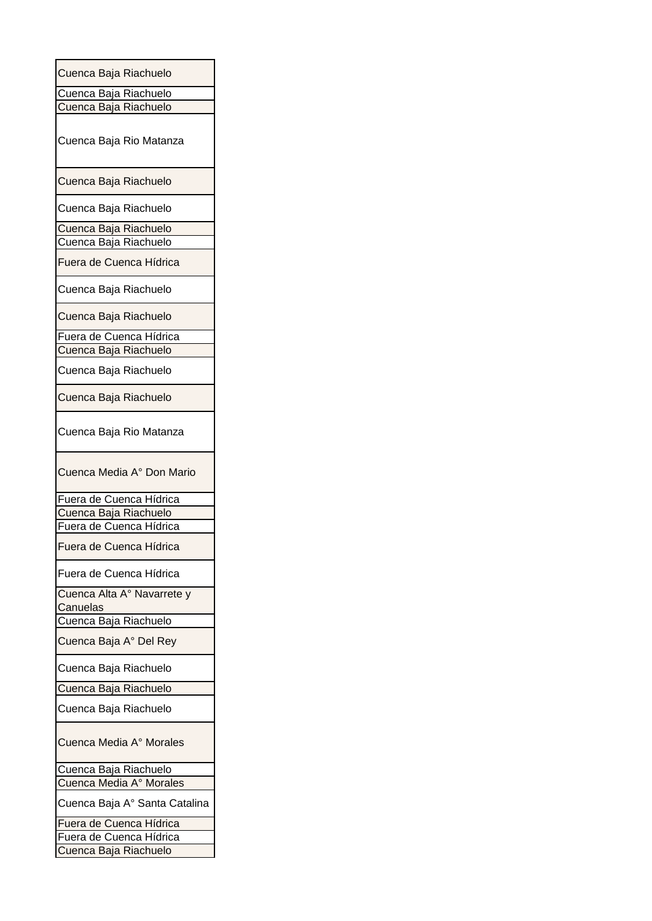| Cuenca Baja Riachuelo                            |
|--------------------------------------------------|
| Cuenca Baja Riachuelo                            |
|                                                  |
| Cuenca Baja Riachuelo                            |
| Cuenca Baja Rio Matanza                          |
| Cuenca Baja Riachuelo                            |
| Cuenca Baja Riachuelo                            |
| Cuenca Baja Riachuelo                            |
| Cuenca Baja Riachuelo                            |
| Fuera de Cuenca Hídrica                          |
| Cuenca Baja Riachuelo                            |
| Cuenca Baja Riachuelo                            |
| Fuera de Cuenca Hídrica                          |
| Cuenca Baja Riachuelo                            |
| Cuenca Baja Riachuelo                            |
| Cuenca Baja Riachuelo                            |
| Cuenca Baja Rio Matanza                          |
|                                                  |
| Cuenca Media A° Don Mario                        |
|                                                  |
| Fuera de Cuenca Hídrica                          |
| Cuenca Baja Riachuelo                            |
| Fuera de Cuenca Hídrica                          |
| Fuera de Cuenca Hídrica                          |
| Fuera de Cuenca Hídrica                          |
| Cuenca Alta A° Navarrete y                       |
| Canuelas                                         |
|                                                  |
| Cuenca Baja Riachuelo<br>Cuenca Baja A° Del Rey  |
| Cuenca Baja Riachuelo                            |
|                                                  |
| Cuenca Baja Riachuelo<br>Cuenca Baja Riachuelo   |
| Cuenca Media A° Morales                          |
|                                                  |
| Cuenca Baja Riachuelo                            |
| Cuenca Media A° Morales                          |
| Cuenca Baja A° Santa Catalina                    |
| Fuera de Cuenca Hídrica                          |
| Fuera de Cuenca Hídrica<br>Cuenca Baja Riachuelo |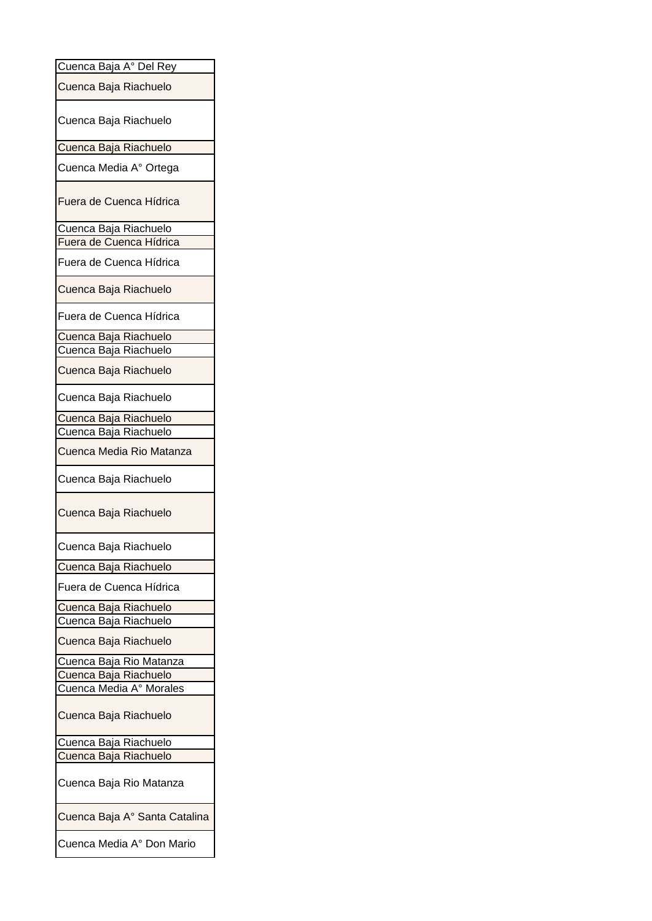| Cuenca Baja A° Del Rey        |
|-------------------------------|
| Cuenca Baja Riachuelo         |
| Cuenca Baja Riachuelo         |
| Cuenca Baja Riachuelo         |
| Cuenca Media A° Ortega        |
| Fuera de Cuenca Hídrica       |
| Cuenca Baja Riachuelo         |
| Fuera de Cuenca Hídrica       |
| Fuera de Cuenca Hídrica       |
| Cuenca Baja Riachuelo         |
| Fuera de Cuenca Hídrica       |
| Cuenca Baja Riachuelo         |
| Cuenca Baja Riachuelo         |
| Cuenca Baja Riachuelo         |
| Cuenca Baja Riachuelo         |
| Cuenca Baja Riachuelo         |
| Cuenca Baja Riachuelo         |
| Cuenca Media Rio Matanza      |
| Cuenca Baja Riachuelo         |
| Cuenca Baja Riachuelo         |
| Cuenca Baja Riachuelo         |
| Cuenca Baja Riachuelo         |
| Fuera de Cuenca Hídrica       |
| Cuenca Baja Riachuelo         |
| Cuenca Baja Riachuelo         |
| Cuenca Baja Riachuelo         |
| Cuenca Baja Rio Matanza       |
| Cuenca Baja Riachuelo         |
| Cuenca Media A° Morales       |
| Cuenca Baja Riachuelo         |
| Cuenca Baja Riachuelo         |
| Cuenca Baja Riachuelo         |
| Cuenca Baja Rio Matanza       |
| Cuenca Baja A° Santa Catalina |
| Cuenca Media A° Don Mario     |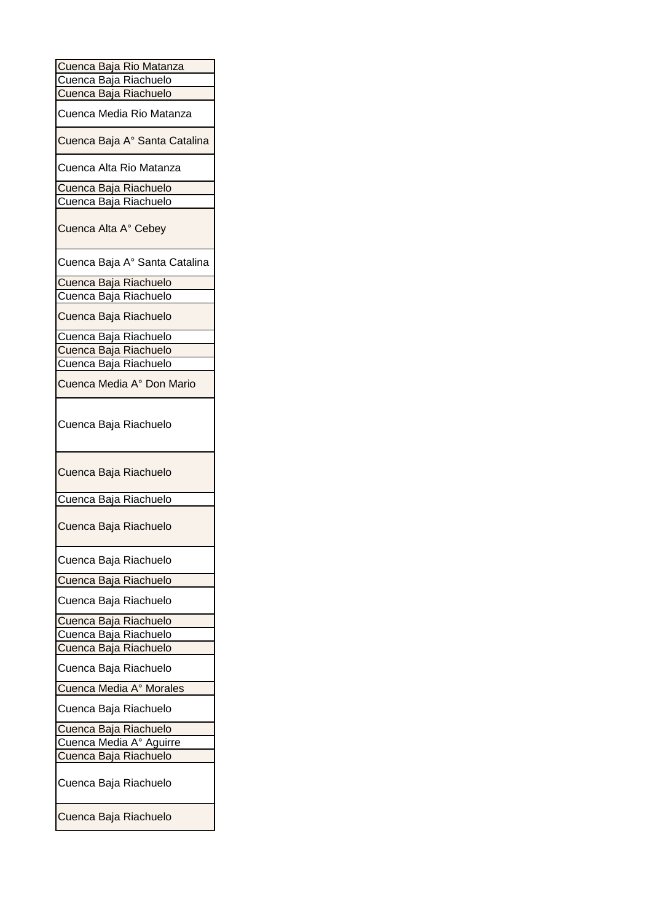| Cuenca Baja Rio Matanza       |
|-------------------------------|
| Cuenca Baja Riachuelo         |
| Cuenca Baja Riachuelo         |
| Cuenca Media Rio Matanza      |
| Cuenca Baja A° Santa Catalina |
| Cuenca Alta Rio Matanza       |
| Cuenca Baja Riachuelo         |
| Cuenca Baja Riachuelo         |
| Cuenca Alta A° Cebey          |
| Cuenca Baja A° Santa Catalina |
| Cuenca Baja Riachuelo         |
| Cuenca Baja Riachuelo         |
| Cuenca Baja Riachuelo         |
| Cuenca Baja Riachuelo         |
| Cuenca Baja Riachuelo         |
| Cuenca Baja Riachuelo         |
|                               |
| Cuenca Media A° Don Mario     |
| Cuenca Baja Riachuelo         |
| Cuenca Baja Riachuelo         |
| Cuenca Baja Riachuelo         |
| Cuenca Baja Riachuelo         |
| Cuenca Baja Riachuelo         |
| Cuenca Baja Riachuelo         |
| Cuenca Baja Riachuelo         |
| Cuenca Baja Riachuelo         |
| Cuenca Baja Riachuelo         |
| Cuenca Baja Riachuelo         |
| Cuenca Baja Riachuelo         |
| Cuenca Media A° Morales       |
|                               |
| Cuenca Baja Riachuelo         |
| Cuenca Baja Riachuelo         |
| Cuenca Media A° Aguirre       |
| Cuenca Baja Riachuelo         |
| Cuenca Baja Riachuelo         |
| Cuenca Baja Riachuelo         |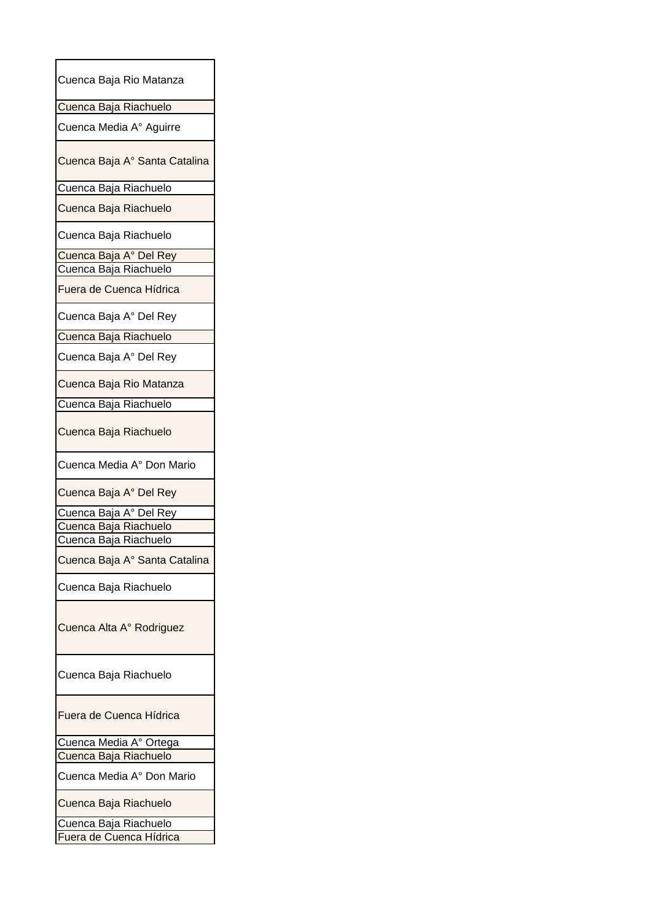| Cuenca Baja Rio Matanza       |
|-------------------------------|
| Cuenca Baja Riachuelo         |
| Cuenca Media A° Aguirre       |
| Cuenca Baja A° Santa Catalina |
| Cuenca Baja Riachuelo         |
| Cuenca Baja Riachuelo         |
| Cuenca Baja Riachuelo         |
| Cuenca Baja A° Del Rey        |
| Cuenca Baja Riachuelo         |
| Fuera de Cuenca Hídrica       |
| Cuenca Baja A° Del Rey        |
| Cuenca Baja Riachuelo         |
| Cuenca Baja A° Del Rey        |
| Cuenca Baja Rio Matanza       |
| Cuenca Baja Riachuelo         |
| Cuenca Baja Riachuelo         |
| Cuenca Media A° Don Mario     |
| Cuenca Baja A° Del Rey        |
| Cuenca Baja A° Del Rey        |
| Cuenca Baja Riachuelo         |
| Cuenca Baja Riachuelo         |
| Cuenca Baja A° Santa Catalina |
| Cuenca Baja Riachuelo         |
| Cuenca Alta A° Rodriguez      |
| Cuenca Baja Riachuelo         |
| Fuera de Cuenca Hídrica       |
| Cuenca Media A° Ortega        |
| Cuenca Baja Riachuelo         |
| Cuenca Media A° Don Mario     |
| Cuenca Baja Riachuelo         |
| Cuenca Baja Riachuelo         |
| Fuera de Cuenca Hídrica       |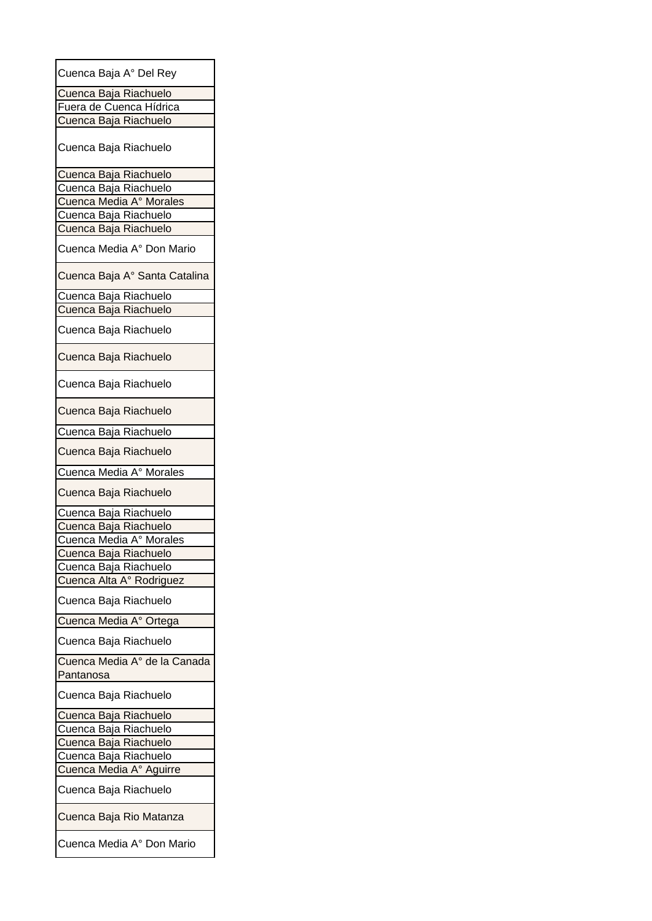| Cuenca Baja A° Del Rey        |
|-------------------------------|
| Cuenca Baja Riachuelo         |
| Fuera de Cuenca Hídrica       |
| Cuenca Baja Riachuelo         |
|                               |
| Cuenca Baja Riachuelo         |
| Cuenca Baja Riachuelo         |
| Cuenca Baja Riachuelo         |
| Cuenca Media A° Morales       |
| Cuenca Baja Riachuelo         |
| Cuenca Baja Riachuelo         |
|                               |
| Cuenca Media A° Don Mario     |
| Cuenca Baja A° Santa Catalina |
| Cuenca Baja Riachuelo         |
| Cuenca Baja Riachuelo         |
|                               |
| Cuenca Baja Riachuelo         |
| Cuenca Baja Riachuelo         |
| Cuenca Baja Riachuelo         |
| Cuenca Baja Riachuelo         |
| Cuenca Baja Riachuelo         |
| Cuenca Baja Riachuelo         |
| Cuenca Media A° Morales       |
| Cuenca Baja Riachuelo         |
|                               |
| Cuenca Baja Riachuelo         |
| Cuenca Baja Riachuelo         |
| Cuenca Media A° Morales       |
| Cuenca Baja Riachuelo         |
| Cuenca Baja Riachuelo         |
| Cuenca Alta A° Rodriguez      |
| Cuenca Baja Riachuelo         |
| Cuenca Media A° Ortega        |
| Cuenca Baja Riachuelo         |
| Cuenca Media Aº de la Canada  |
| Pantanosa                     |
|                               |
| Cuenca Baja Riachuelo         |
| Cuenca Baja Riachuelo         |
| Cuenca Baja Riachuelo         |
| Cuenca Baja Riachuelo         |
| Cuenca Baja Riachuelo         |
| Cuenca Media A° Aguirre       |
| Cuenca Baja Riachuelo         |
| Cuenca Baja Rio Matanza       |
|                               |
| Cuenca Media A° Don Mario     |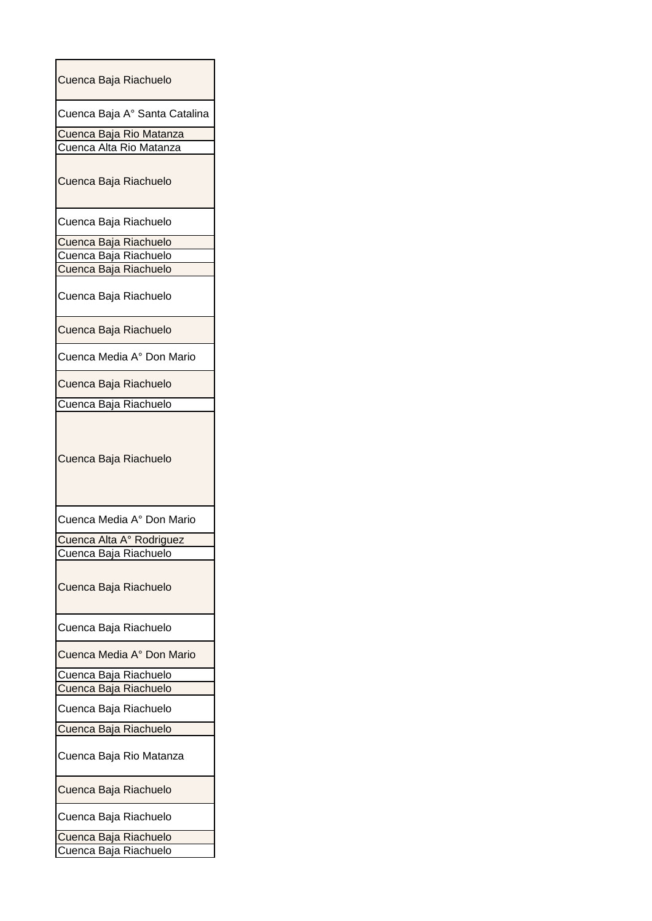| Cuenca Baja Riachuelo                              |
|----------------------------------------------------|
| Cuenca Baja A° Santa Catalina                      |
| Cuenca Baja Rio Matanza<br>Cuenca Alta Rio Matanza |
| Cuenca Baja Riachuelo                              |
| Cuenca Baja Riachuelo                              |
| Cuenca Baja Riachuelo                              |
| Cuenca Baja Riachuelo                              |
| Cuenca Baja Riachuelo                              |
| Cuenca Baja Riachuelo                              |
| Cuenca Baja Riachuelo                              |
| Cuenca Media A° Don Mario                          |
| Cuenca Baja Riachuelo                              |
| Cuenca Baja Riachuelo                              |
| Cuenca Baja Riachuelo                              |
| Cuenca Media A° Don Mario                          |
| Cuenca Alta A° Rodriguez                           |
| Cuenca Baja Riachuelo                              |
| Cuenca Baja Riachuelo                              |
| Cuenca Baja Riachuelo                              |
| Cuenca Media A° Don Mario                          |
| Cuenca Baja Riachuelo                              |
| Cuenca Baja Riachuelo                              |
| Cuenca Baja Riachuelo                              |
| Cuenca Baja Riachuelo                              |
| Cuenca Baja Rio Matanza                            |
| Cuenca Baja Riachuelo                              |
| Cuenca Baja Riachuelo                              |
| Cuenca Baja Riachuelo                              |
| Cuenca Baja Riachuelo                              |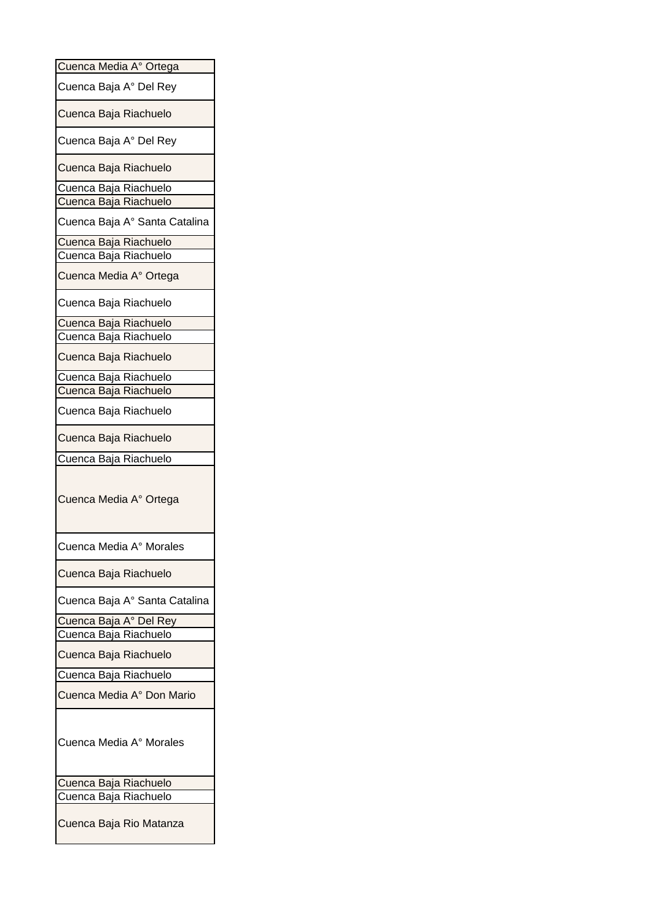| Cuenca Media A° Ortega        |
|-------------------------------|
| Cuenca Baja A° Del Rey        |
| Cuenca Baja Riachuelo         |
| Cuenca Baja A° Del Rey        |
| Cuenca Baja Riachuelo         |
| Cuenca Baja Riachuelo         |
| Cuenca Baja Riachuelo         |
| Cuenca Baja A° Santa Catalina |
| Cuenca Baja Riachuelo         |
| Cuenca Baja Riachuelo         |
| Cuenca Media A° Ortega        |
| Cuenca Baja Riachuelo         |
| Cuenca Baja Riachuelo         |
| Cuenca Baja Riachuelo         |
| Cuenca Baja Riachuelo         |
| Cuenca Baja Riachuelo         |
| Cuenca Baja Riachuelo         |
| Cuenca Baja Riachuelo         |
| Cuenca Baja Riachuelo         |
| Cuenca Baja Riachuelo         |
| Cuenca Media A° Ortega        |
| Cuenca Media A° Morales       |
|                               |
| Cuenca Baja Riachuelo         |
| Cuenca Baja A° Santa Catalina |
| Cuenca Baja A° Del Rey        |
| Cuenca Baja Riachuelo         |
| Cuenca Baja Riachuelo         |
| Cuenca Baja Riachuelo         |
| Cuenca Media A° Don Mario     |
| Cuenca Media A° Morales       |
| Cuenca Baja Riachuelo         |
| Cuenca Baja Riachuelo         |
|                               |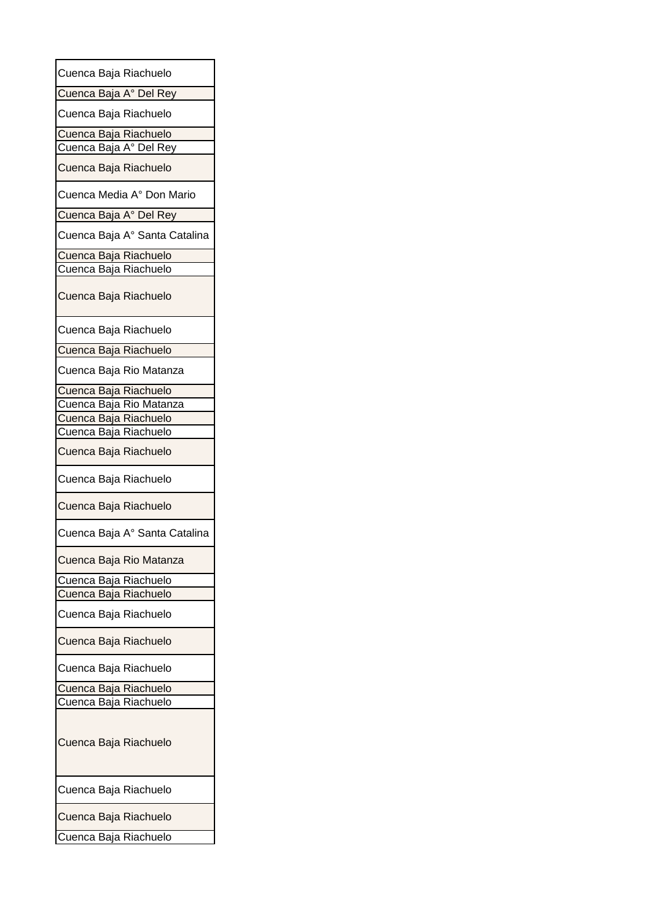| Cuenca Baja Riachuelo         |  |
|-------------------------------|--|
| Cuenca Baja A° Del Rey        |  |
| Cuenca Baja Riachuelo         |  |
| <u>Cuenca Baja Riachuelo</u>  |  |
| Cuenca Baja A° Del Rey        |  |
| Cuenca Baja Riachuelo         |  |
| Cuenca Media A° Don Mario     |  |
| Cuenca Baja A° Del Rey        |  |
| Cuenca Baja A° Santa Catalina |  |
| Cuenca Baja Riachuelo         |  |
| Cuenca Baja Riachuelo         |  |
| Cuenca Baja Riachuelo         |  |
| Cuenca Baja Riachuelo         |  |
| Cuenca Baja Riachuelo         |  |
| Cuenca Baja Rio Matanza       |  |
| Cuenca Baja Riachuelo         |  |
| Cuenca Baja Rio Matanza       |  |
| Cuenca Baja Riachuelo         |  |
| Cuenca Baja Riachuelo         |  |
| Cuenca Baja Riachuelo         |  |
| Cuenca Baja Riachuelo         |  |
| Cuenca Baja Riachuelo         |  |
| Cuenca Baja A° Santa Catalina |  |
| Cuenca Baja Rio Matanza       |  |
| Cuenca Baja Riachuelo         |  |
| Cuenca Baja Riachuelo         |  |
| Cuenca Baja Riachuelo         |  |
| Cuenca Baja Riachuelo         |  |
| Cuenca Baja Riachuelo         |  |
| Cuenca Baja Riachuelo         |  |
| Cuenca Baja Riachuelo         |  |
| Cuenca Baja Riachuelo         |  |
| Cuenca Baja Riachuelo         |  |
| Cuenca Baja Riachuelo         |  |
| Cuenca Baja Riachuelo         |  |
|                               |  |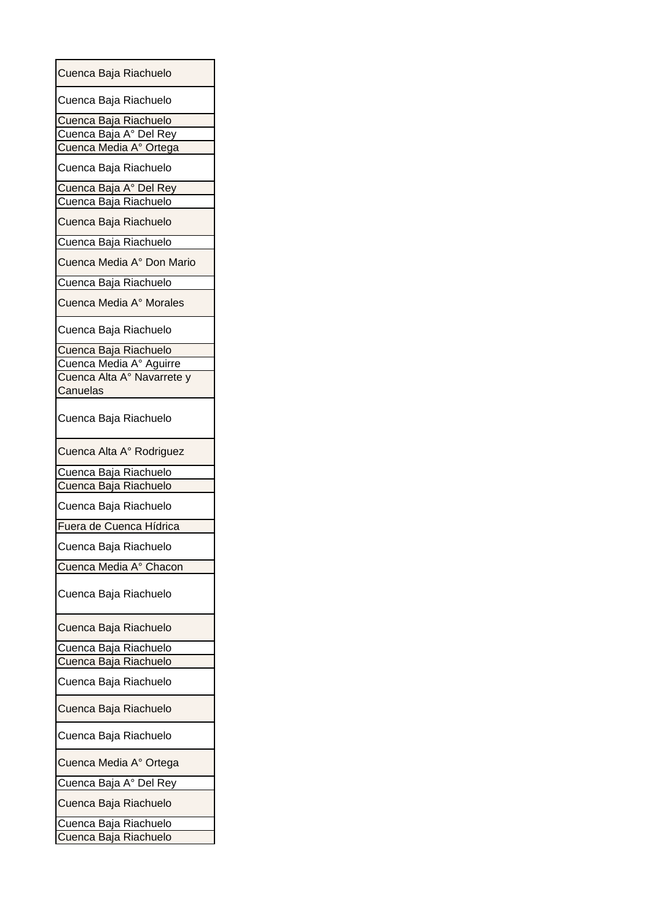| Cuenca Baja Riachuelo      |
|----------------------------|
| Cuenca Baja Riachuelo      |
| Cuenca Baja Riachuelo      |
| Cuenca Baja A° Del Rey     |
| Cuenca Media A° Ortega     |
| Cuenca Baja Riachuelo      |
| Cuenca Baja A° Del Rey     |
| Cuenca Baja Riachuelo      |
| Cuenca Baja Riachuelo      |
| Cuenca Baja Riachuelo      |
| Cuenca Media A° Don Mario  |
| Cuenca Baja Riachuelo      |
| Cuenca Media A° Morales    |
| Cuenca Baja Riachuelo      |
| Cuenca Baja Riachuelo      |
| Cuenca Media A° Aguirre    |
| Cuenca Alta A° Navarrete y |
| Canuelas                   |
| Cuenca Baja Riachuelo      |
| Cuenca Alta A° Rodriguez   |
| Cuenca Baja Riachuelo      |
| Cuenca Baja Riachuelo      |
| Cuenca Baja Riachuelo      |
| Fuera de Cuenca Hídrica    |
| Cuenca Baja Riachuelo      |
| Cuenca Media A° Chacon     |
| Cuenca Baja Riachuelo      |
| Cuenca Baja Riachuelo      |
| Cuenca Baja Riachuelo      |
| Cuenca Baja Riachuelo      |
| Cuenca Baja Riachuelo      |
| Cuenca Baja Riachuelo      |
| Cuenca Baja Riachuelo      |
| Cuenca Media A° Ortega     |
| Cuenca Baja A° Del Rey     |
| Cuenca Baja Riachuelo      |
| Cuenca Baja Riachuelo      |
| Cuenca Baja Riachuelo      |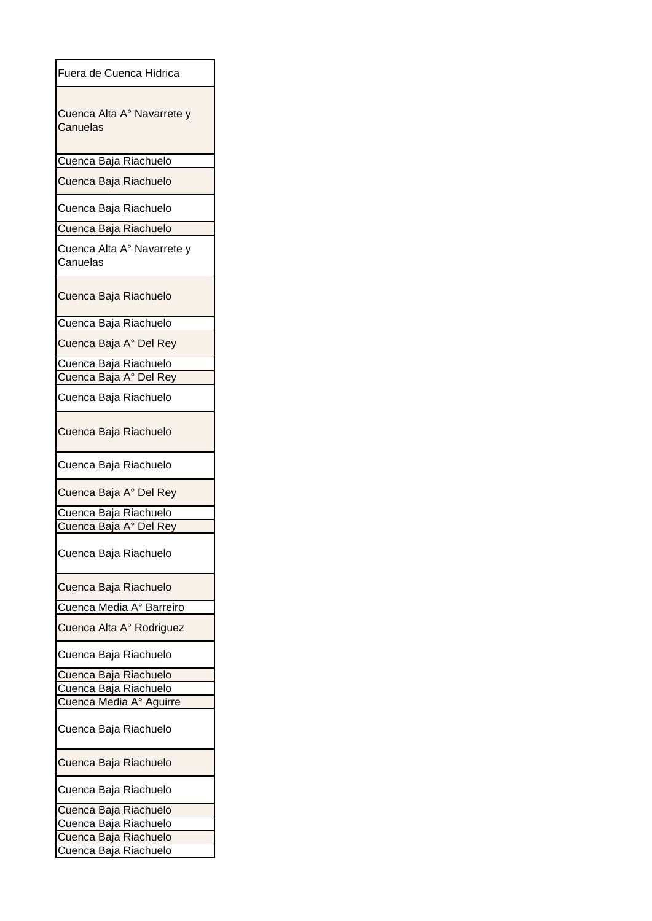| Fuera de Cuenca Hídrica                |
|----------------------------------------|
| Cuenca Alta A° Navarrete y<br>Canuelas |
| Cuenca Baja Riachuelo                  |
| Cuenca Baja Riachuelo                  |
| Cuenca Baja Riachuelo                  |
| Cuenca Baja Riachuelo                  |
| Cuenca Alta A° Navarrete y<br>Canuelas |
| Cuenca Baja Riachuelo                  |
| Cuenca Baja Riachuelo                  |
| Cuenca Baja A° Del Rey                 |
| Cuenca Baja Riachuelo                  |
| Cuenca Baja A° Del Rey                 |
| Cuenca Baja Riachuelo                  |
| Cuenca Baja Riachuelo                  |
| Cuenca Baja Riachuelo                  |
| Cuenca Baja A° Del Rey                 |
| Cuenca Baja Riachuelo                  |
| Cuenca Baja A° Del Rey                 |
| Cuenca Baja Riachuelo                  |
| Cuenca Baja Riachuelo                  |
| Cuenca Media A° Barreiro               |
| Cuenca Alta A° Rodriguez               |
| Cuenca Baja Riachuelo                  |
| Cuenca Baja Riachuelo                  |
| Cuenca Baja Riachuelo                  |
| Cuenca Media A° Aguirre                |
| Cuenca Baja Riachuelo                  |
| Cuenca Baja Riachuelo                  |
| Cuenca Baja Riachuelo                  |
| Cuenca Baja Riachuelo                  |
| Cuenca Baja Riachuelo                  |
| Cuenca Baja Riachuelo                  |
| Cuenca Baja Riachuelo<br>ι             |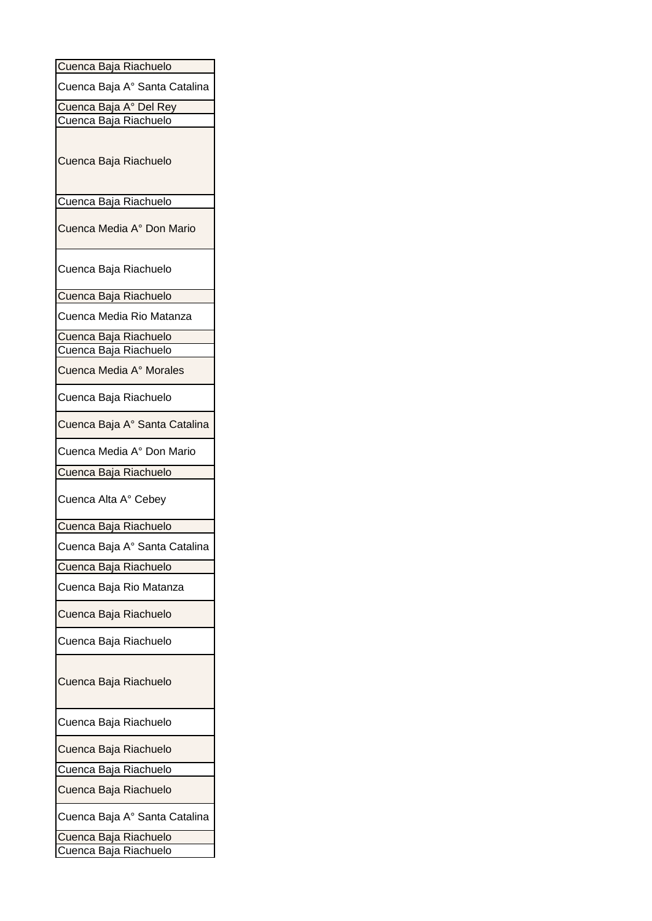| Cuenca Baja Riachuelo         |
|-------------------------------|
| Cuenca Baja A° Santa Catalina |
| Cuenca Baja A° Del Rey        |
| Cuenca Baja Riachuelo         |
| Cuenca Baja Riachuelo         |
| Cuenca Baja Riachuelo         |
| Cuenca Media A° Don Mario     |
| Cuenca Baja Riachuelo         |
| Cuenca Baja Riachuelo         |
| Cuenca Media Rio Matanza      |
| Cuenca Baja Riachuelo         |
| Cuenca Baja Riachuelo         |
| Cuenca Media A° Morales       |
| Cuenca Baja Riachuelo         |
| Cuenca Baja A° Santa Catalina |
| Cuenca Media A° Don Mario     |
| Cuenca Baja Riachuelo         |
| Cuenca Alta A° Cebey          |
| Cuenca Baja Riachuelo         |
| Cuenca Baja A° Santa Catalina |
| Cuenca Baja Riachuelo         |
| Cuenca Baja Rio Matanza       |
| Cuenca Baja Riachuelo         |
| Cuenca Baja Riachuelo         |
| Cuenca Baja Riachuelo         |
| Cuenca Baja Riachuelo         |
| Cuenca Baja Riachuelo         |
| Cuenca Baja Riachuelo         |
| Cuenca Baja Riachuelo         |
| Cuenca Baja A° Santa Catalina |
| Cuenca Baja Riachuelo         |
| Cuenca Baja Riachuelo         |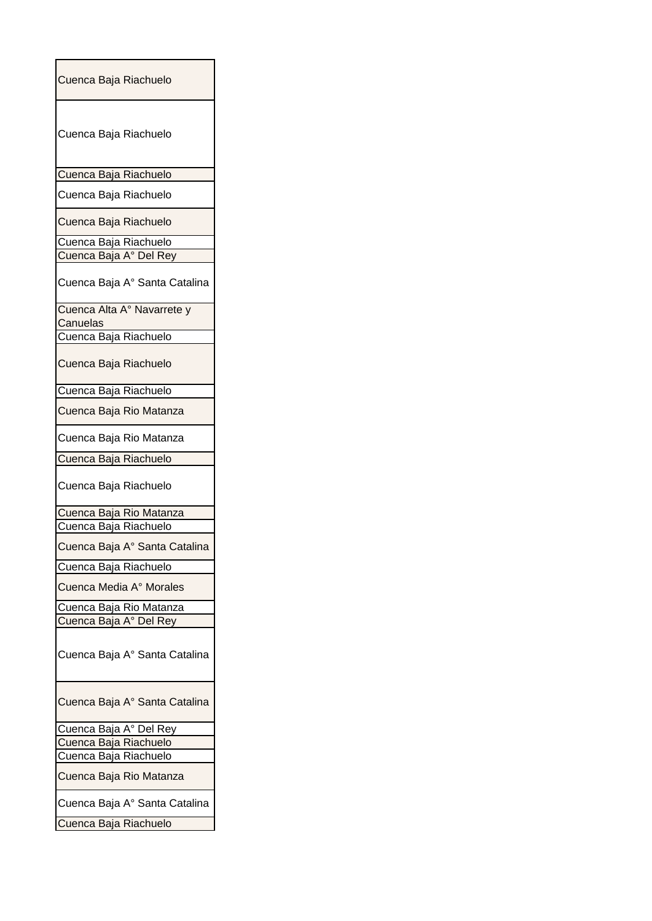| Cuenca Baja Riachuelo                  |
|----------------------------------------|
| Cuenca Baja Riachuelo                  |
| Cuenca Baja Riachuelo                  |
| Cuenca Baja Riachuelo                  |
| Cuenca Baja Riachuelo                  |
| Cuenca Baja Riachuelo                  |
| Cuenca Baja A° Del Rey                 |
| Cuenca Baja A° Santa Catalina          |
| Cuenca Alta A° Navarrete y<br>Canuelas |
| Cuenca Baja Riachuelo                  |
| Cuenca Baja Riachuelo                  |
| Cuenca Baja Riachuelo                  |
| Cuenca Baja Rio Matanza                |
| Cuenca Baja Rio Matanza                |
| Cuenca Baja Riachuelo                  |
| Cuenca Baja Riachuelo                  |
| Cuenca Baja Rio Matanza                |
| Cuenca Baja Riachuelo                  |
| Cuenca Baja A° Santa Catalina          |
| Cuenca Baja Riachuelo                  |
| Cuenca Media A° Morales                |
| Cuenca Baja Rio Matanza                |
| Cuenca Baja A° Del Rey                 |
| Cuenca Baja A° Santa Catalina          |
| Cuenca Baja A° Santa Catalina          |
| Cuenca Baja A° Del Rey                 |
| Cuenca Baja Riachuelo                  |
| Cuenca Baja Riachuelo                  |
| Cuenca Baja Rio Matanza                |
| Cuenca Baja A° Santa Catalina          |
| Cuenca Baja Riachuelo                  |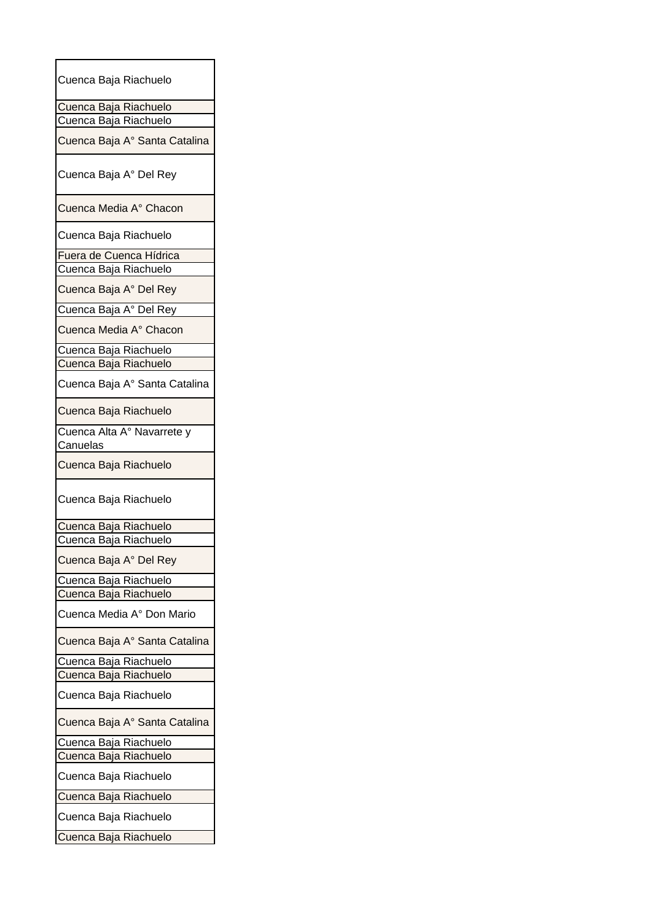| Cuenca Baja Riachuelo                  |
|----------------------------------------|
| Cuenca Baja Riachuelo                  |
| Cuenca Baja Riachuelo                  |
| Cuenca Baja A° Santa Catalina          |
| Cuenca Baja A° Del Rey                 |
| Cuenca Media A° Chacon                 |
| Cuenca Baja Riachuelo                  |
| Fuera de Cuenca Hídrica                |
| Cuenca Baja Riachuelo                  |
| Cuenca Baja A° Del Rey                 |
| Cuenca Baja A° Del Rey                 |
| Cuenca Media A° Chacon                 |
| Cuenca Baja Riachuelo                  |
| Cuenca Baja Riachuelo                  |
| Cuenca Baja A° Santa Catalina          |
| Cuenca Baja Riachuelo                  |
| Cuenca Alta A° Navarrete y<br>Canuelas |
| Cuenca Baja Riachuelo                  |
| Cuenca Baja Riachuelo                  |
| Cuenca Baja Riachuelo                  |
| Cuenca Baja Riachuelo                  |
| Cuenca Baja A° Del Rey                 |
| Cuenca Baja Riachuelo                  |
| Cuenca Baja Riachuelo                  |
| Cuenca Media A° Don Mario              |
| Cuenca Baja A° Santa Catalina          |
| Cuenca Baja Riachuelo                  |
| Cuenca Baja Riachuelo                  |
| Cuenca Baja Riachuelo                  |
| Cuenca Baja A° Santa Catalina          |
| Cuenca Baja Riachuelo                  |
| Cuenca Baja Riachuelo                  |
| Cuenca Baja Riachuelo                  |
| Cuenca Baja Riachuelo                  |
| Cuenca Baja Riachuelo                  |
| Cuenca Baja Riachuelo                  |
|                                        |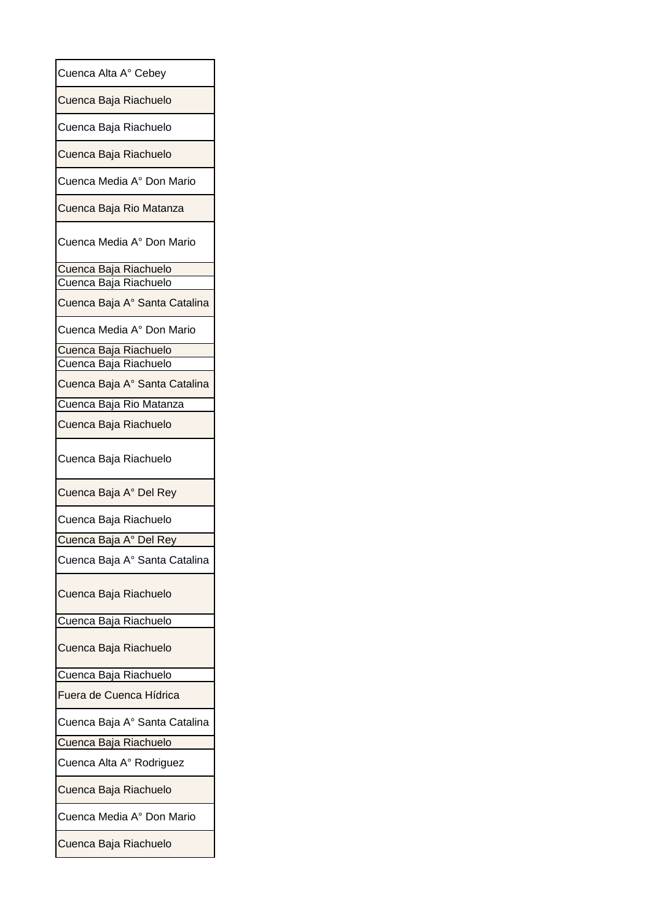| Cuenca Alta A° Cebey                           |
|------------------------------------------------|
| Cuenca Baja Riachuelo                          |
| Cuenca Baja Riachuelo                          |
| Cuenca Baja Riachuelo                          |
| Cuenca Media A° Don Mario                      |
| Cuenca Baja Rio Matanza                        |
| Cuenca Media A° Don Mario                      |
| Cuenca Baja Riachuelo<br>Cuenca Baja Riachuelo |
| Cuenca Baja A° Santa Catalina                  |
|                                                |
| Cuenca Media A° Don Mario                      |
| Cuenca Baja Riachuelo                          |
| Cuenca Baja Riachuelo                          |
| Cuenca Baja A° Santa Catalina                  |
| Cuenca Baja Rio Matanza                        |
| Cuenca Baja Riachuelo                          |
| Cuenca Baja Riachuelo                          |
| Cuenca Baja A° Del Rey                         |
| Cuenca Baja Riachuelo                          |
| Cuenca Baja A° Del Rey                         |
| Cuenca Baja A° Santa Catalina                  |
| Cuenca Baja Riachuelo                          |
| Cuenca Baja Riachuelo                          |
| Cuenca Baja Riachuelo                          |
| Cuenca Baja Riachuelo                          |
| Fuera de Cuenca Hídrica                        |
| Cuenca Baja A° Santa Catalina                  |
| Cuenca Baja Riachuelo                          |
| Cuenca Alta A° Rodriguez                       |
| Cuenca Baja Riachuelo                          |
| Cuenca Media A° Don Mario                      |
| Cuenca Baja Riachuelo                          |
|                                                |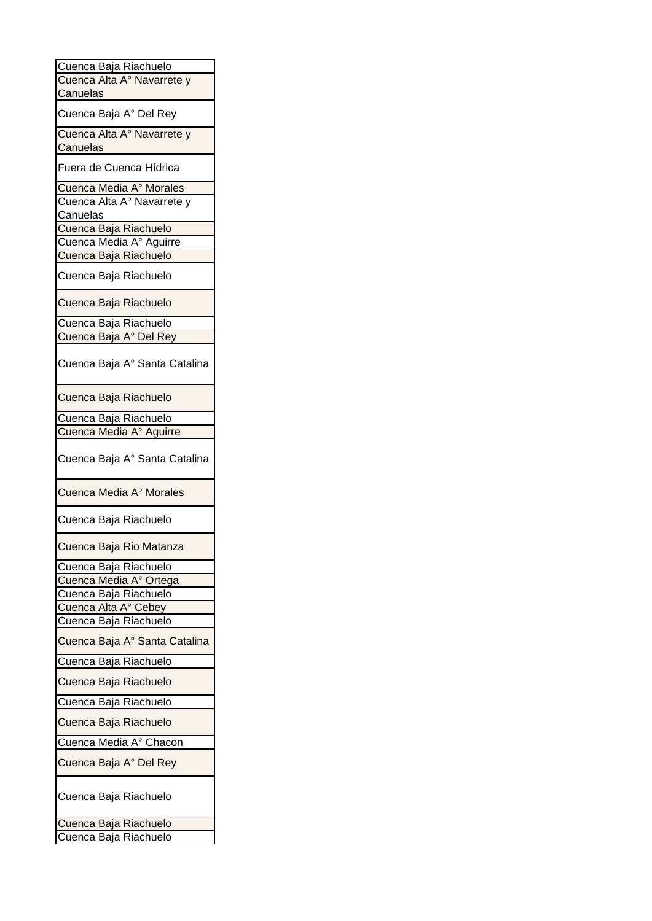| Cuenca Baja Riachuelo         |
|-------------------------------|
| Cuenca Alta A° Navarrete y    |
| Canuelas                      |
| Cuenca Baja A° Del Rey        |
| Cuenca Alta A° Navarrete y    |
| Canuelas                      |
| Fuera de Cuenca Hídrica       |
| Cuenca Media A° Morales       |
| Cuenca Alta Aº Navarrete y    |
| Canuelas                      |
| Cuenca Baja Riachuelo         |
| Cuenca Media A° Aguirre       |
| Cuenca Baja Riachuelo         |
| Cuenca Baja Riachuelo         |
| Cuenca Baja Riachuelo         |
| Cuenca Baja Riachuelo         |
| Cuenca Baja A° Del Rey        |
|                               |
| Cuenca Baja A° Santa Catalina |
| Cuenca Baja Riachuelo         |
| Cuenca Baja Riachuelo         |
| Cuenca Media A° Aguirre       |
| Cuenca Baja A° Santa Catalina |
| Cuenca Media A° Morales       |
| Cuenca Baja Riachuelo         |
| Cuenca Baja Rio Matanza       |
| Cuenca Baja Riachuelo         |
| Cuenca Media A° Ortega        |
| Cuenca Baja Riachuelo         |
| Cuenca Alta A° Cebey          |
| Cuenca Baja Riachuelo         |
| Cuenca Baja A° Santa Catalina |
| Cuenca Baja Riachuelo         |
| Cuenca Baja Riachuelo         |
| Cuenca Baja Riachuelo         |
| Cuenca Baja Riachuelo         |
| Cuenca Media A° Chacon        |
| Cuenca Baja A° Del Rey        |
| Cuenca Baja Riachuelo         |
| Cuenca Baja Riachuelo         |
| Cuenca Baja Riachuelo         |
|                               |